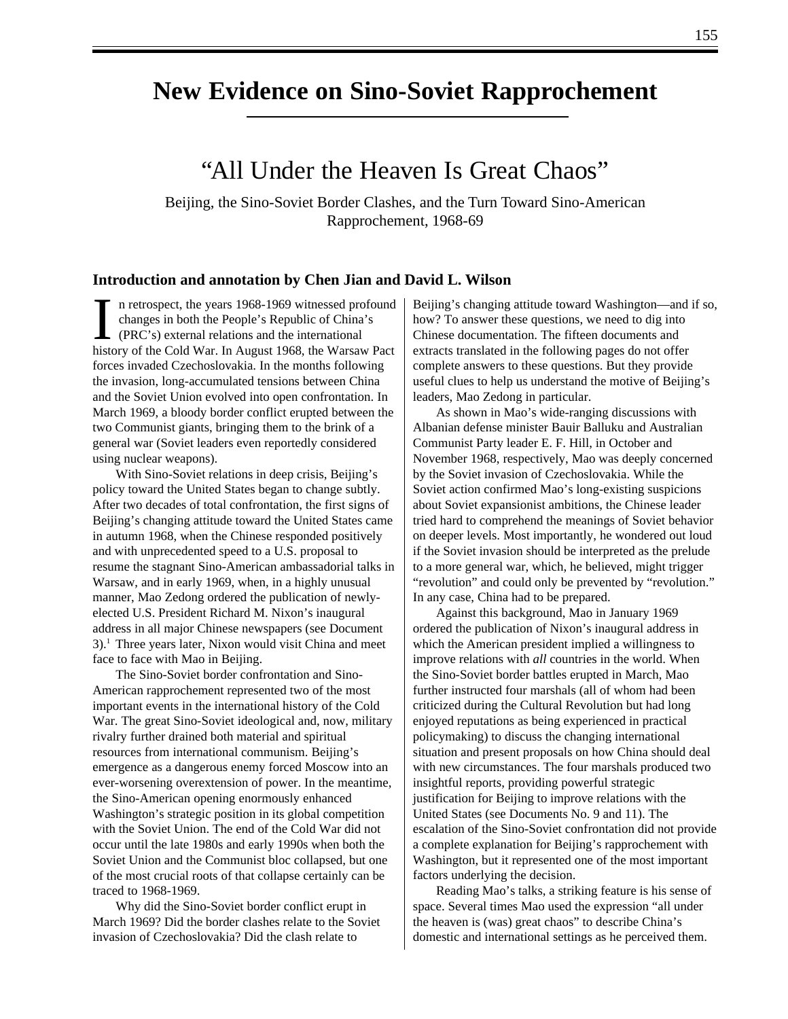# **New Evidence on Sino-Soviet Rapprochement**

# "All Under the Heaven Is Great Chaos"

Beijing, the Sino-Soviet Border Clashes, and the Turn Toward Sino-American Rapprochement, 1968-69

## **Introduction and annotation by Chen Jian and David L. Wilson**

In retrospect, the years 1968-1969 witnessed profound changes in both the People's Republic of China's (PRC's) external relations and the international history of the Cold War. In August 1968, the Warsaw Pact n retrospect, the years 1968-1969 witnessed profound changes in both the People's Republic of China's (PRC's) external relations and the international forces invaded Czechoslovakia. In the months following the invasion, long-accumulated tensions between China and the Soviet Union evolved into open confrontation. In March 1969, a bloody border conflict erupted between the two Communist giants, bringing them to the brink of a general war (Soviet leaders even reportedly considered using nuclear weapons).

With Sino-Soviet relations in deep crisis, Beijing's policy toward the United States began to change subtly. After two decades of total confrontation, the first signs of Beijing's changing attitude toward the United States came in autumn 1968, when the Chinese responded positively and with unprecedented speed to a U.S. proposal to resume the stagnant Sino-American ambassadorial talks in Warsaw, and in early 1969, when, in a highly unusual manner, Mao Zedong ordered the publication of newlyelected U.S. President Richard M. Nixon's inaugural address in all major Chinese newspapers (see Document 3).1 Three years later, Nixon would visit China and meet face to face with Mao in Beijing.

The Sino-Soviet border confrontation and Sino-American rapprochement represented two of the most important events in the international history of the Cold War. The great Sino-Soviet ideological and, now, military rivalry further drained both material and spiritual resources from international communism. Beijing's emergence as a dangerous enemy forced Moscow into an ever-worsening overextension of power. In the meantime, the Sino-American opening enormously enhanced Washington's strategic position in its global competition with the Soviet Union. The end of the Cold War did not occur until the late 1980s and early 1990s when both the Soviet Union and the Communist bloc collapsed, but one of the most crucial roots of that collapse certainly can be traced to 1968-1969.

Why did the Sino-Soviet border conflict erupt in March 1969? Did the border clashes relate to the Soviet invasion of Czechoslovakia? Did the clash relate to

Beijing's changing attitude toward Washington—and if so, how? To answer these questions, we need to dig into Chinese documentation. The fifteen documents and extracts translated in the following pages do not offer complete answers to these questions. But they provide useful clues to help us understand the motive of Beijing's leaders, Mao Zedong in particular.

As shown in Mao's wide-ranging discussions with Albanian defense minister Bauir Balluku and Australian Communist Party leader E. F. Hill, in October and November 1968, respectively, Mao was deeply concerned by the Soviet invasion of Czechoslovakia. While the Soviet action confirmed Mao's long-existing suspicions about Soviet expansionist ambitions, the Chinese leader tried hard to comprehend the meanings of Soviet behavior on deeper levels. Most importantly, he wondered out loud if the Soviet invasion should be interpreted as the prelude to a more general war, which, he believed, might trigger "revolution" and could only be prevented by "revolution." In any case, China had to be prepared.

Against this background, Mao in January 1969 ordered the publication of Nixon's inaugural address in which the American president implied a willingness to improve relations with *all* countries in the world. When the Sino-Soviet border battles erupted in March, Mao further instructed four marshals (all of whom had been criticized during the Cultural Revolution but had long enjoyed reputations as being experienced in practical policymaking) to discuss the changing international situation and present proposals on how China should deal with new circumstances. The four marshals produced two insightful reports, providing powerful strategic justification for Beijing to improve relations with the United States (see Documents No. 9 and 11). The escalation of the Sino-Soviet confrontation did not provide a complete explanation for Beijing's rapprochement with Washington, but it represented one of the most important factors underlying the decision.

Reading Mao's talks, a striking feature is his sense of space. Several times Mao used the expression "all under the heaven is (was) great chaos" to describe China's domestic and international settings as he perceived them.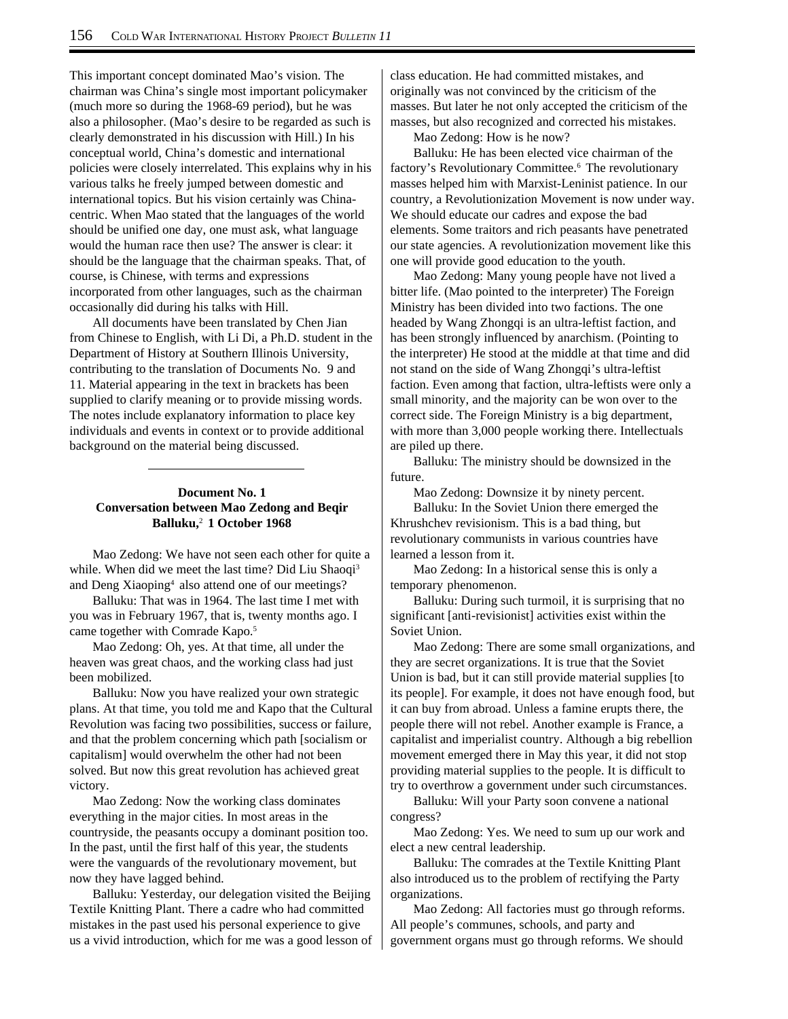This important concept dominated Mao's vision. The chairman was China's single most important policymaker (much more so during the 1968-69 period), but he was also a philosopher. (Mao's desire to be regarded as such is clearly demonstrated in his discussion with Hill.) In his conceptual world, China's domestic and international policies were closely interrelated. This explains why in his various talks he freely jumped between domestic and international topics. But his vision certainly was Chinacentric. When Mao stated that the languages of the world should be unified one day, one must ask, what language would the human race then use? The answer is clear: it should be the language that the chairman speaks. That, of course, is Chinese, with terms and expressions incorporated from other languages, such as the chairman occasionally did during his talks with Hill.

All documents have been translated by Chen Jian from Chinese to English, with Li Di, a Ph.D. student in the Department of History at Southern Illinois University, contributing to the translation of Documents No. 9 and 11. Material appearing in the text in brackets has been supplied to clarify meaning or to provide missing words. The notes include explanatory information to place key individuals and events in context or to provide additional background on the material being discussed.

## **Document No. 1 Conversation between Mao Zedong and Beqir Balluku,**<sup>2</sup> **1 October 1968**

Mao Zedong: We have not seen each other for quite a while. When did we meet the last time? Did Liu Shaoqi<sup>3</sup> and Deng Xiaoping<sup>4</sup> also attend one of our meetings?

Balluku: That was in 1964. The last time I met with you was in February 1967, that is, twenty months ago. I came together with Comrade Kapo.<sup>5</sup>

Mao Zedong: Oh, yes. At that time, all under the heaven was great chaos, and the working class had just been mobilized.

Balluku: Now you have realized your own strategic plans. At that time, you told me and Kapo that the Cultural Revolution was facing two possibilities, success or failure, and that the problem concerning which path [socialism or capitalism] would overwhelm the other had not been solved. But now this great revolution has achieved great victory.

Mao Zedong: Now the working class dominates everything in the major cities. In most areas in the countryside, the peasants occupy a dominant position too. In the past, until the first half of this year, the students were the vanguards of the revolutionary movement, but now they have lagged behind.

Balluku: Yesterday, our delegation visited the Beijing Textile Knitting Plant. There a cadre who had committed mistakes in the past used his personal experience to give us a vivid introduction, which for me was a good lesson of class education. He had committed mistakes, and originally was not convinced by the criticism of the masses. But later he not only accepted the criticism of the masses, but also recognized and corrected his mistakes.

Mao Zedong: How is he now?

Balluku: He has been elected vice chairman of the factory's Revolutionary Committee.<sup>6</sup> The revolutionary masses helped him with Marxist-Leninist patience. In our country, a Revolutionization Movement is now under way. We should educate our cadres and expose the bad elements. Some traitors and rich peasants have penetrated our state agencies. A revolutionization movement like this one will provide good education to the youth.

Mao Zedong: Many young people have not lived a bitter life. (Mao pointed to the interpreter) The Foreign Ministry has been divided into two factions. The one headed by Wang Zhongqi is an ultra-leftist faction, and has been strongly influenced by anarchism. (Pointing to the interpreter) He stood at the middle at that time and did not stand on the side of Wang Zhongqi's ultra-leftist faction. Even among that faction, ultra-leftists were only a small minority, and the majority can be won over to the correct side. The Foreign Ministry is a big department, with more than 3,000 people working there. Intellectuals are piled up there.

Balluku: The ministry should be downsized in the future.

Mao Zedong: Downsize it by ninety percent.

Balluku: In the Soviet Union there emerged the Khrushchev revisionism. This is a bad thing, but revolutionary communists in various countries have learned a lesson from it.

Mao Zedong: In a historical sense this is only a temporary phenomenon.

Balluku: During such turmoil, it is surprising that no significant [anti-revisionist] activities exist within the Soviet Union.

Mao Zedong: There are some small organizations, and they are secret organizations. It is true that the Soviet Union is bad, but it can still provide material supplies [to its people]. For example, it does not have enough food, but it can buy from abroad. Unless a famine erupts there, the people there will not rebel. Another example is France, a capitalist and imperialist country. Although a big rebellion movement emerged there in May this year, it did not stop providing material supplies to the people. It is difficult to try to overthrow a government under such circumstances.

Balluku: Will your Party soon convene a national congress?

Mao Zedong: Yes. We need to sum up our work and elect a new central leadership.

Balluku: The comrades at the Textile Knitting Plant also introduced us to the problem of rectifying the Party organizations.

Mao Zedong: All factories must go through reforms. All people's communes, schools, and party and government organs must go through reforms. We should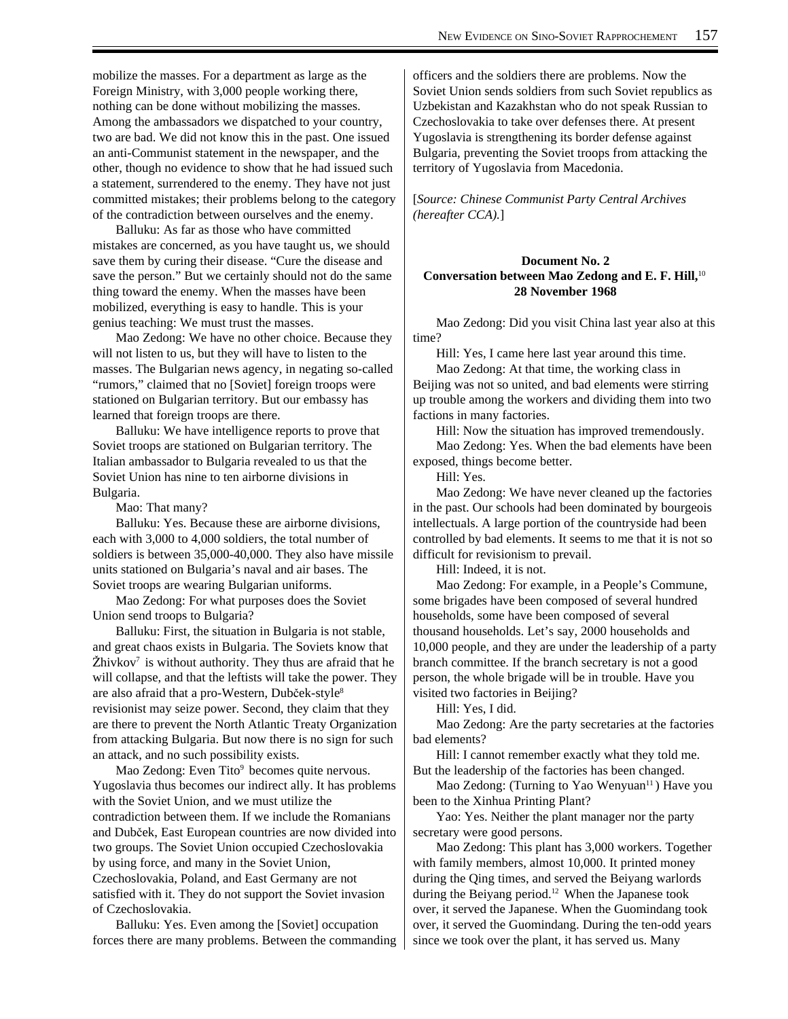mobilize the masses. For a department as large as the Foreign Ministry, with 3,000 people working there, nothing can be done without mobilizing the masses. Among the ambassadors we dispatched to your country, two are bad. We did not know this in the past. One issued an anti-Communist statement in the newspaper, and the other, though no evidence to show that he had issued such a statement, surrendered to the enemy. They have not just committed mistakes; their problems belong to the category of the contradiction between ourselves and the enemy.

Balluku: As far as those who have committed mistakes are concerned, as you have taught us, we should save them by curing their disease. "Cure the disease and save the person." But we certainly should not do the same thing toward the enemy. When the masses have been mobilized, everything is easy to handle. This is your genius teaching: We must trust the masses.

Mao Zedong: We have no other choice. Because they will not listen to us, but they will have to listen to the masses. The Bulgarian news agency, in negating so-called "rumors," claimed that no [Soviet] foreign troops were stationed on Bulgarian territory. But our embassy has learned that foreign troops are there.

Balluku: We have intelligence reports to prove that Soviet troops are stationed on Bulgarian territory. The Italian ambassador to Bulgaria revealed to us that the Soviet Union has nine to ten airborne divisions in Bulgaria.

Mao: That many?

Balluku: Yes. Because these are airborne divisions, each with 3,000 to 4,000 soldiers, the total number of soldiers is between 35,000-40,000. They also have missile units stationed on Bulgaria's naval and air bases. The Soviet troops are wearing Bulgarian uniforms.

Mao Zedong: For what purposes does the Soviet Union send troops to Bulgaria?

Balluku: First, the situation in Bulgaria is not stable, and great chaos exists in Bulgaria. The Soviets know that  $\dot{Z}$ hivkov<sup>7</sup> is without authority. They thus are afraid that he will collapse, and that the leftists will take the power. They are also afraid that a pro-Western, Dubček-style<sup>8</sup> revisionist may seize power. Second, they claim that they are there to prevent the North Atlantic Treaty Organization from attacking Bulgaria. But now there is no sign for such an attack, and no such possibility exists.

Mao Zedong: Even Tito<sup>9</sup> becomes quite nervous. Yugoslavia thus becomes our indirect ally. It has problems with the Soviet Union, and we must utilize the contradiction between them. If we include the Romanians and Dubček, East European countries are now divided into two groups. The Soviet Union occupied Czechoslovakia by using force, and many in the Soviet Union, Czechoslovakia, Poland, and East Germany are not satisfied with it. They do not support the Soviet invasion of Czechoslovakia.

Balluku: Yes. Even among the [Soviet] occupation forces there are many problems. Between the commanding officers and the soldiers there are problems. Now the Soviet Union sends soldiers from such Soviet republics as Uzbekistan and Kazakhstan who do not speak Russian to Czechoslovakia to take over defenses there. At present Yugoslavia is strengthening its border defense against Bulgaria, preventing the Soviet troops from attacking the territory of Yugoslavia from Macedonia.

[*Source: Chinese Communist Party Central Archives (hereafter CCA).*]

## **Document No. 2 Conversation between Mao Zedong and E. F. Hill,**<sup>10</sup> **28 November 1968**

Mao Zedong: Did you visit China last year also at this time?

Hill: Yes, I came here last year around this time.

Mao Zedong: At that time, the working class in Beijing was not so united, and bad elements were stirring up trouble among the workers and dividing them into two factions in many factories.

Hill: Now the situation has improved tremendously. Mao Zedong: Yes. When the bad elements have been exposed, things become better.

Hill: Yes.

Mao Zedong: We have never cleaned up the factories in the past. Our schools had been dominated by bourgeois intellectuals. A large portion of the countryside had been controlled by bad elements. It seems to me that it is not so difficult for revisionism to prevail.

Hill: Indeed, it is not.

Mao Zedong: For example, in a People's Commune, some brigades have been composed of several hundred households, some have been composed of several thousand households. Let's say, 2000 households and 10,000 people, and they are under the leadership of a party branch committee. If the branch secretary is not a good person, the whole brigade will be in trouble. Have you visited two factories in Beijing?

Hill: Yes, I did.

Mao Zedong: Are the party secretaries at the factories bad elements?

Hill: I cannot remember exactly what they told me. But the leadership of the factories has been changed.

Mao Zedong: (Turning to Yao Wenyuan<sup>11</sup>) Have you been to the Xinhua Printing Plant?

Yao: Yes. Neither the plant manager nor the party secretary were good persons.

Mao Zedong: This plant has 3,000 workers. Together with family members, almost 10,000. It printed money during the Qing times, and served the Beiyang warlords during the Beiyang period.<sup>12</sup> When the Japanese took over, it served the Japanese. When the Guomindang took over, it served the Guomindang. During the ten-odd years since we took over the plant, it has served us. Many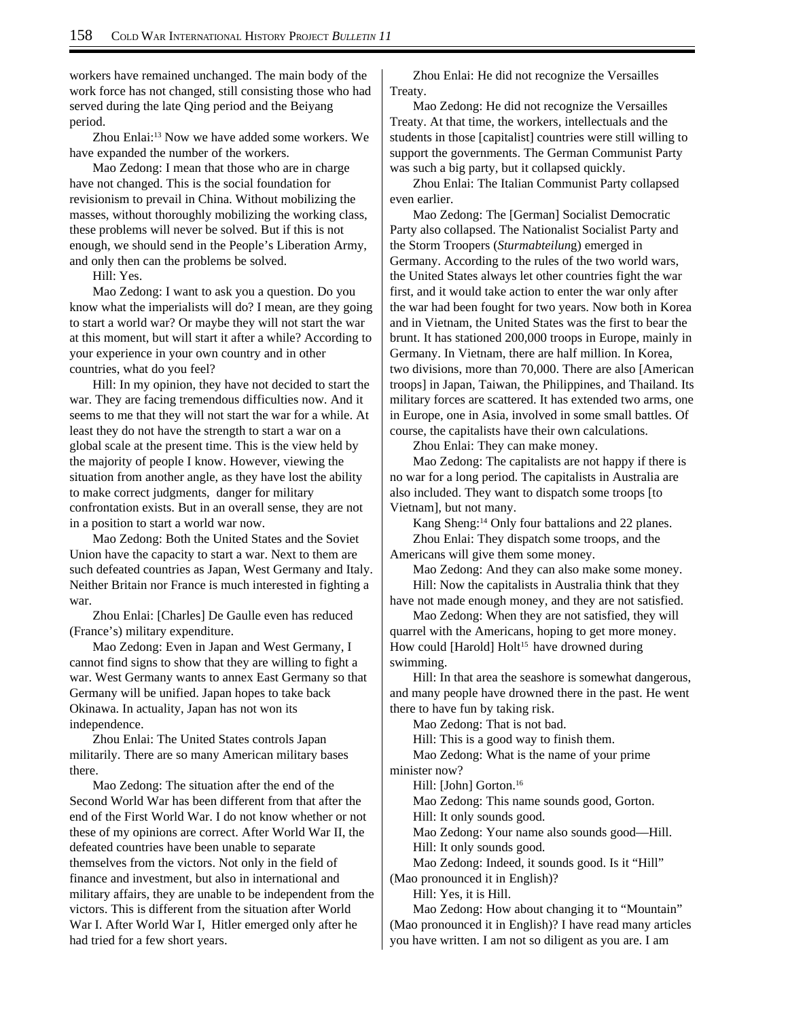workers have remained unchanged. The main body of the work force has not changed, still consisting those who had served during the late Qing period and the Beiyang period.

Zhou Enlai:<sup>13</sup> Now we have added some workers. We have expanded the number of the workers.

Mao Zedong: I mean that those who are in charge have not changed. This is the social foundation for revisionism to prevail in China. Without mobilizing the masses, without thoroughly mobilizing the working class, these problems will never be solved. But if this is not enough, we should send in the People's Liberation Army, and only then can the problems be solved.

Hill: Yes.

Mao Zedong: I want to ask you a question. Do you know what the imperialists will do? I mean, are they going to start a world war? Or maybe they will not start the war at this moment, but will start it after a while? According to your experience in your own country and in other countries, what do you feel?

Hill: In my opinion, they have not decided to start the war. They are facing tremendous difficulties now. And it seems to me that they will not start the war for a while. At least they do not have the strength to start a war on a global scale at the present time. This is the view held by the majority of people I know. However, viewing the situation from another angle, as they have lost the ability to make correct judgments, danger for military confrontation exists. But in an overall sense, they are not in a position to start a world war now.

Mao Zedong: Both the United States and the Soviet Union have the capacity to start a war. Next to them are such defeated countries as Japan, West Germany and Italy. Neither Britain nor France is much interested in fighting a war.

Zhou Enlai: [Charles] De Gaulle even has reduced (France's) military expenditure.

Mao Zedong: Even in Japan and West Germany, I cannot find signs to show that they are willing to fight a war. West Germany wants to annex East Germany so that Germany will be unified. Japan hopes to take back Okinawa. In actuality, Japan has not won its independence.

Zhou Enlai: The United States controls Japan militarily. There are so many American military bases there.

Mao Zedong: The situation after the end of the Second World War has been different from that after the end of the First World War. I do not know whether or not these of my opinions are correct. After World War II, the defeated countries have been unable to separate themselves from the victors. Not only in the field of finance and investment, but also in international and military affairs, they are unable to be independent from the victors. This is different from the situation after World War I. After World War I, Hitler emerged only after he had tried for a few short years.

Zhou Enlai: He did not recognize the Versailles Treaty.

Mao Zedong: He did not recognize the Versailles Treaty. At that time, the workers, intellectuals and the students in those [capitalist] countries were still willing to support the governments. The German Communist Party was such a big party, but it collapsed quickly.

Zhou Enlai: The Italian Communist Party collapsed even earlier.

Mao Zedong: The [German] Socialist Democratic Party also collapsed. The Nationalist Socialist Party and the Storm Troopers (*Sturmabteilun*g) emerged in Germany. According to the rules of the two world wars, the United States always let other countries fight the war first, and it would take action to enter the war only after the war had been fought for two years. Now both in Korea and in Vietnam, the United States was the first to bear the brunt. It has stationed 200,000 troops in Europe, mainly in Germany. In Vietnam, there are half million. In Korea, two divisions, more than 70,000. There are also [American troops] in Japan, Taiwan, the Philippines, and Thailand. Its military forces are scattered. It has extended two arms, one in Europe, one in Asia, involved in some small battles. Of course, the capitalists have their own calculations.

Zhou Enlai: They can make money.

Mao Zedong: The capitalists are not happy if there is no war for a long period. The capitalists in Australia are also included. They want to dispatch some troops [to Vietnam], but not many.

Kang Sheng:14 Only four battalions and 22 planes. Zhou Enlai: They dispatch some troops, and the Americans will give them some money.

Mao Zedong: And they can also make some money. Hill: Now the capitalists in Australia think that they have not made enough money, and they are not satisfied.

Mao Zedong: When they are not satisfied, they will quarrel with the Americans, hoping to get more money. How could [Harold] Holt<sup>15</sup> have drowned during swimming.

Hill: In that area the seashore is somewhat dangerous, and many people have drowned there in the past. He went there to have fun by taking risk.

Mao Zedong: That is not bad.

Hill: This is a good way to finish them.

Mao Zedong: What is the name of your prime minister now?

Hill: [John] Gorton.<sup>16</sup>

Mao Zedong: This name sounds good, Gorton.

Hill: It only sounds good.

Mao Zedong: Your name also sounds good—Hill. Hill: It only sounds good.

Mao Zedong: Indeed, it sounds good. Is it "Hill" (Mao pronounced it in English)?

Hill: Yes, it is Hill.

Mao Zedong: How about changing it to "Mountain" (Mao pronounced it in English)? I have read many articles you have written. I am not so diligent as you are. I am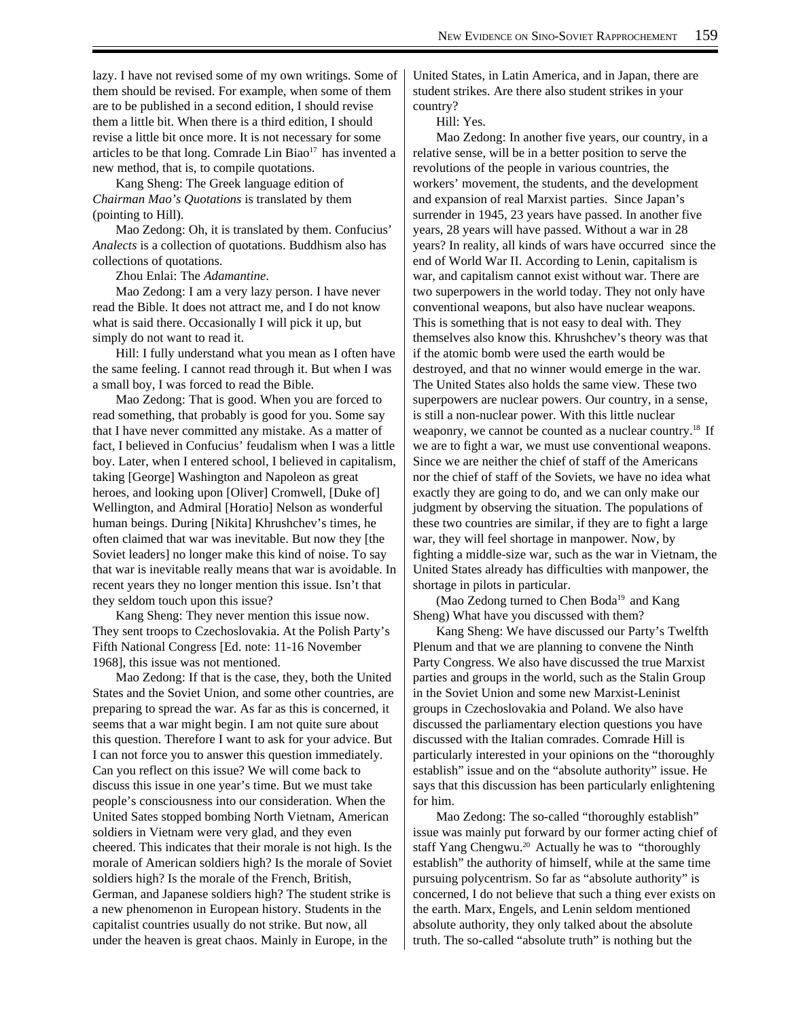lazy. I have not revised some of my own writings. Some of them should be revised. For example, when some of them are to be published in a second edition, I should revise them a little bit. When there is a third edition, I should revise a little bit once more. It is not necessary for some articles to be that long. Comrade Lin Biao<sup>17</sup> has invented a new method, that is, to compile quotations.

Kang Sheng: The Greek language edition of *Chairman Mao's Quotations* is translated by them (pointing to Hill).

Mao Zedong: Oh, it is translated by them. Confucius' *Analects* is a collection of quotations. Buddhism also has collections of quotations.

Zhou Enlai: The *Adamantine*.

Mao Zedong: I am a very lazy person. I have never read the Bible. It does not attract me, and I do not know what is said there. Occasionally I will pick it up, but simply do not want to read it.

Hill: I fully understand what you mean as I often have the same feeling. I cannot read through it. But when I was a small boy, I was forced to read the Bible.

Mao Zedong: That is good. When you are forced to read something, that probably is good for you. Some say that I have never committed any mistake. As a matter of fact, I believed in Confucius' feudalism when I was a little boy. Later, when I entered school, I believed in capitalism, taking [George] Washington and Napoleon as great heroes, and looking upon [Oliver] Cromwell, [Duke of] Wellington, and Admiral [Horatio] Nelson as wonderful human beings. During [Nikita] Khrushchev's times, he often claimed that war was inevitable. But now they [the Soviet leaders] no longer make this kind of noise. To say that war is inevitable really means that war is avoidable. In recent years they no longer mention this issue. Isn't that they seldom touch upon this issue?

Kang Sheng: They never mention this issue now. They sent troops to Czechoslovakia. At the Polish Party's Fifth National Congress [Ed. note: 11-16 November 1968], this issue was not mentioned.

Mao Zedong: If that is the case, they, both the United States and the Soviet Union, and some other countries, are preparing to spread the war. As far as this is concerned, it seems that a war might begin. I am not quite sure about this question. Therefore I want to ask for your advice. But I can not force you to answer this question immediately. Can you reflect on this issue? We will come back to discuss this issue in one year's time. But we must take people's consciousness into our consideration. When the United Sates stopped bombing North Vietnam, American soldiers in Vietnam were very glad, and they even cheered. This indicates that their morale is not high. Is the morale of American soldiers high? Is the morale of Soviet soldiers high? Is the morale of the French, British, German, and Japanese soldiers high? The student strike is a new phenomenon in European history. Students in the capitalist countries usually do not strike. But now, all under the heaven is great chaos. Mainly in Europe, in the

United States, in Latin America, and in Japan, there are student strikes. Are there also student strikes in your country?

Hill: Yes.

Mao Zedong: In another five years, our country, in a relative sense, will be in a better position to serve the revolutions of the people in various countries, the workers' movement, the students, and the development and expansion of real Marxist parties. Since Japan's surrender in 1945, 23 years have passed. In another five years, 28 years will have passed. Without a war in 28 years? In reality, all kinds of wars have occurred since the end of World War II. According to Lenin, capitalism is war, and capitalism cannot exist without war. There are two superpowers in the world today. They not only have conventional weapons, but also have nuclear weapons. This is something that is not easy to deal with. They themselves also know this. Khrushchev's theory was that if the atomic bomb were used the earth would be destroyed, and that no winner would emerge in the war. The United States also holds the same view. These two superpowers are nuclear powers. Our country, in a sense, is still a non-nuclear power. With this little nuclear weaponry, we cannot be counted as a nuclear country.<sup>18</sup> If we are to fight a war, we must use conventional weapons. Since we are neither the chief of staff of the Americans nor the chief of staff of the Soviets, we have no idea what exactly they are going to do, and we can only make our judgment by observing the situation. The populations of these two countries are similar, if they are to fight a large war, they will feel shortage in manpower. Now, by fighting a middle-size war, such as the war in Vietnam, the United States already has difficulties with manpower, the shortage in pilots in particular.

(Mao Zedong turned to Chen Boda<sup>19</sup> and Kang Sheng) What have you discussed with them?

Kang Sheng: We have discussed our Party's Twelfth Plenum and that we are planning to convene the Ninth Party Congress. We also have discussed the true Marxist parties and groups in the world, such as the Stalin Group in the Soviet Union and some new Marxist-Leninist groups in Czechoslovakia and Poland. We also have discussed the parliamentary election questions you have discussed with the Italian comrades. Comrade Hill is particularly interested in your opinions on the "thoroughly establish" issue and on the "absolute authority" issue. He says that this discussion has been particularly enlightening for him.

Mao Zedong: The so-called "thoroughly establish" issue was mainly put forward by our former acting chief of staff Yang Chengwu.<sup>20</sup> Actually he was to "thoroughly establish" the authority of himself, while at the same time pursuing polycentrism. So far as "absolute authority" is concerned, I do not believe that such a thing ever exists on the earth. Marx, Engels, and Lenin seldom mentioned absolute authority, they only talked about the absolute truth. The so-called "absolute truth" is nothing but the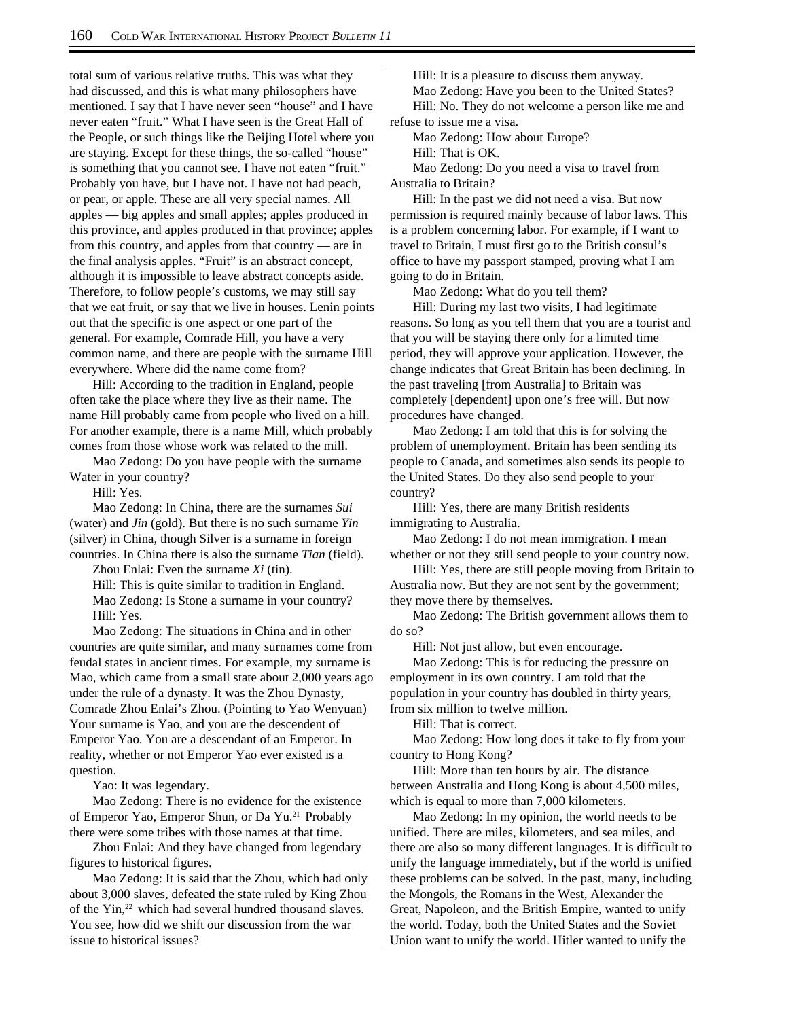total sum of various relative truths. This was what they had discussed, and this is what many philosophers have mentioned. I say that I have never seen "house" and I have never eaten "fruit." What I have seen is the Great Hall of the People, or such things like the Beijing Hotel where you are staying. Except for these things, the so-called "house" is something that you cannot see. I have not eaten "fruit." Probably you have, but I have not. I have not had peach, or pear, or apple. These are all very special names. All apples — big apples and small apples; apples produced in this province, and apples produced in that province; apples from this country, and apples from that country — are in the final analysis apples. "Fruit" is an abstract concept, although it is impossible to leave abstract concepts aside. Therefore, to follow people's customs, we may still say that we eat fruit, or say that we live in houses. Lenin points out that the specific is one aspect or one part of the general. For example, Comrade Hill, you have a very common name, and there are people with the surname Hill everywhere. Where did the name come from?

Hill: According to the tradition in England, people often take the place where they live as their name. The name Hill probably came from people who lived on a hill. For another example, there is a name Mill, which probably comes from those whose work was related to the mill.

Mao Zedong: Do you have people with the surname Water in your country?

Hill: Yes.

Mao Zedong: In China, there are the surnames *Sui* (water) and *Jin* (gold). But there is no such surname *Yin* (silver) in China, though Silver is a surname in foreign countries. In China there is also the surname *Tian* (field).

Zhou Enlai: Even the surname *Xi* (tin).

Hill: This is quite similar to tradition in England. Mao Zedong: Is Stone a surname in your country? Hill: Yes.

Mao Zedong: The situations in China and in other countries are quite similar, and many surnames come from feudal states in ancient times. For example, my surname is Mao, which came from a small state about 2,000 years ago under the rule of a dynasty. It was the Zhou Dynasty, Comrade Zhou Enlai's Zhou. (Pointing to Yao Wenyuan) Your surname is Yao, and you are the descendent of Emperor Yao. You are a descendant of an Emperor. In reality, whether or not Emperor Yao ever existed is a question.

Yao: It was legendary.

Mao Zedong: There is no evidence for the existence of Emperor Yao, Emperor Shun, or Da Yu.<sup>21</sup> Probably there were some tribes with those names at that time.

Zhou Enlai: And they have changed from legendary figures to historical figures.

Mao Zedong: It is said that the Zhou, which had only about 3,000 slaves, defeated the state ruled by King Zhou of the Yin,<sup>22</sup> which had several hundred thousand slaves. You see, how did we shift our discussion from the war issue to historical issues?

Hill: It is a pleasure to discuss them anyway. Mao Zedong: Have you been to the United States? Hill: No. They do not welcome a person like me and refuse to issue me a visa.

Mao Zedong: How about Europe?

Hill: That is OK.

Mao Zedong: Do you need a visa to travel from Australia to Britain?

Hill: In the past we did not need a visa. But now permission is required mainly because of labor laws. This is a problem concerning labor. For example, if I want to travel to Britain, I must first go to the British consul's office to have my passport stamped, proving what I am going to do in Britain.

Mao Zedong: What do you tell them?

Hill: During my last two visits, I had legitimate reasons. So long as you tell them that you are a tourist and that you will be staying there only for a limited time period, they will approve your application. However, the change indicates that Great Britain has been declining. In the past traveling [from Australia] to Britain was completely [dependent] upon one's free will. But now procedures have changed.

Mao Zedong: I am told that this is for solving the problem of unemployment. Britain has been sending its people to Canada, and sometimes also sends its people to the United States. Do they also send people to your country?

Hill: Yes, there are many British residents immigrating to Australia.

Mao Zedong: I do not mean immigration. I mean whether or not they still send people to your country now.

Hill: Yes, there are still people moving from Britain to Australia now. But they are not sent by the government; they move there by themselves.

Mao Zedong: The British government allows them to do so?

Hill: Not just allow, but even encourage.

Mao Zedong: This is for reducing the pressure on employment in its own country. I am told that the population in your country has doubled in thirty years, from six million to twelve million.

Hill: That is correct.

Mao Zedong: How long does it take to fly from your country to Hong Kong?

Hill: More than ten hours by air. The distance between Australia and Hong Kong is about 4,500 miles, which is equal to more than 7,000 kilometers.

Mao Zedong: In my opinion, the world needs to be unified. There are miles, kilometers, and sea miles, and there are also so many different languages. It is difficult to unify the language immediately, but if the world is unified these problems can be solved. In the past, many, including the Mongols, the Romans in the West, Alexander the Great, Napoleon, and the British Empire, wanted to unify the world. Today, both the United States and the Soviet Union want to unify the world. Hitler wanted to unify the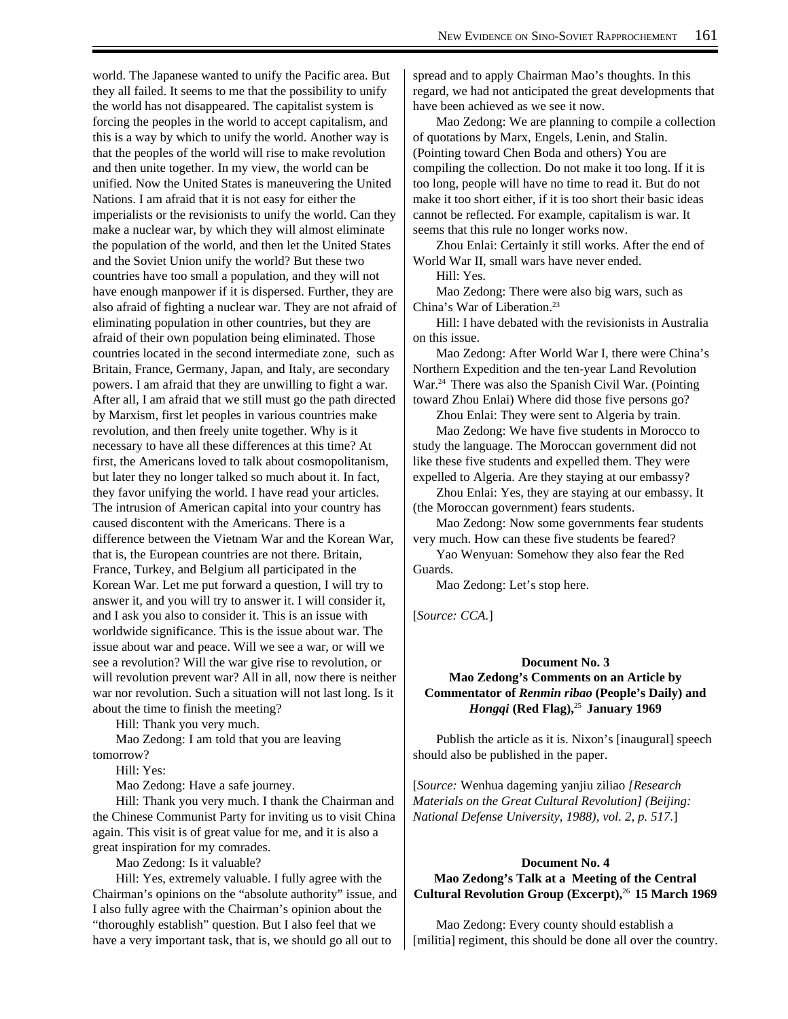world. The Japanese wanted to unify the Pacific area. But they all failed. It seems to me that the possibility to unify the world has not disappeared. The capitalist system is forcing the peoples in the world to accept capitalism, and this is a way by which to unify the world. Another way is that the peoples of the world will rise to make revolution and then unite together. In my view, the world can be unified. Now the United States is maneuvering the United Nations. I am afraid that it is not easy for either the imperialists or the revisionists to unify the world. Can they make a nuclear war, by which they will almost eliminate the population of the world, and then let the United States and the Soviet Union unify the world? But these two countries have too small a population, and they will not have enough manpower if it is dispersed. Further, they are also afraid of fighting a nuclear war. They are not afraid of eliminating population in other countries, but they are afraid of their own population being eliminated. Those countries located in the second intermediate zone, such as Britain, France, Germany, Japan, and Italy, are secondary powers. I am afraid that they are unwilling to fight a war. After all, I am afraid that we still must go the path directed by Marxism, first let peoples in various countries make revolution, and then freely unite together. Why is it necessary to have all these differences at this time? At first, the Americans loved to talk about cosmopolitanism, but later they no longer talked so much about it. In fact, they favor unifying the world. I have read your articles. The intrusion of American capital into your country has caused discontent with the Americans. There is a difference between the Vietnam War and the Korean War, that is, the European countries are not there. Britain, France, Turkey, and Belgium all participated in the Korean War. Let me put forward a question, I will try to answer it, and you will try to answer it. I will consider it, and I ask you also to consider it. This is an issue with worldwide significance. This is the issue about war. The issue about war and peace. Will we see a war, or will we see a revolution? Will the war give rise to revolution, or will revolution prevent war? All in all, now there is neither war nor revolution. Such a situation will not last long. Is it about the time to finish the meeting?

Hill: Thank you very much.

Mao Zedong: I am told that you are leaving tomorrow?

Hill: Yes:

Mao Zedong: Have a safe journey.

Hill: Thank you very much. I thank the Chairman and the Chinese Communist Party for inviting us to visit China again. This visit is of great value for me, and it is also a great inspiration for my comrades.

Mao Zedong: Is it valuable?

Hill: Yes, extremely valuable. I fully agree with the Chairman's opinions on the "absolute authority" issue, and I also fully agree with the Chairman's opinion about the "thoroughly establish" question. But I also feel that we have a very important task, that is, we should go all out to

spread and to apply Chairman Mao's thoughts. In this regard, we had not anticipated the great developments that have been achieved as we see it now.

Mao Zedong: We are planning to compile a collection of quotations by Marx, Engels, Lenin, and Stalin. (Pointing toward Chen Boda and others) You are compiling the collection. Do not make it too long. If it is too long, people will have no time to read it. But do not make it too short either, if it is too short their basic ideas cannot be reflected. For example, capitalism is war. It seems that this rule no longer works now.

Zhou Enlai: Certainly it still works. After the end of World War II, small wars have never ended.

Hill: Yes.

Mao Zedong: There were also big wars, such as China's War of Liberation.<sup>23</sup>

Hill: I have debated with the revisionists in Australia on this issue.

Mao Zedong: After World War I, there were China's Northern Expedition and the ten-year Land Revolution War.<sup>24</sup> There was also the Spanish Civil War. (Pointing toward Zhou Enlai) Where did those five persons go?

Zhou Enlai: They were sent to Algeria by train.

Mao Zedong: We have five students in Morocco to study the language. The Moroccan government did not like these five students and expelled them. They were expelled to Algeria. Are they staying at our embassy?

Zhou Enlai: Yes, they are staying at our embassy. It (the Moroccan government) fears students.

Mao Zedong: Now some governments fear students very much. How can these five students be feared?

Yao Wenyuan: Somehow they also fear the Red Guards.

Mao Zedong: Let's stop here.

[*Source: CCA.*]

## **Document No. 3**

# **Mao Zedong's Comments on an Article by Commentator of** *Renmin ribao* **(People's Daily) and** *Hongqi* **(Red Flag),**<sup>25</sup> **January 1969**

Publish the article as it is. Nixon's [inaugural] speech should also be published in the paper.

[*Source:* Wenhua dageming yanjiu ziliao *[Research Materials on the Great Cultural Revolution] (Beijing: National Defense University, 1988), vol. 2, p. 517.*]

## **Document No. 4**

## **Mao Zedong's Talk at a Meeting of the Central Cultural Revolution Group (Excerpt),**<sup>26</sup> **15 March 1969**

Mao Zedong: Every county should establish a [militia] regiment, this should be done all over the country.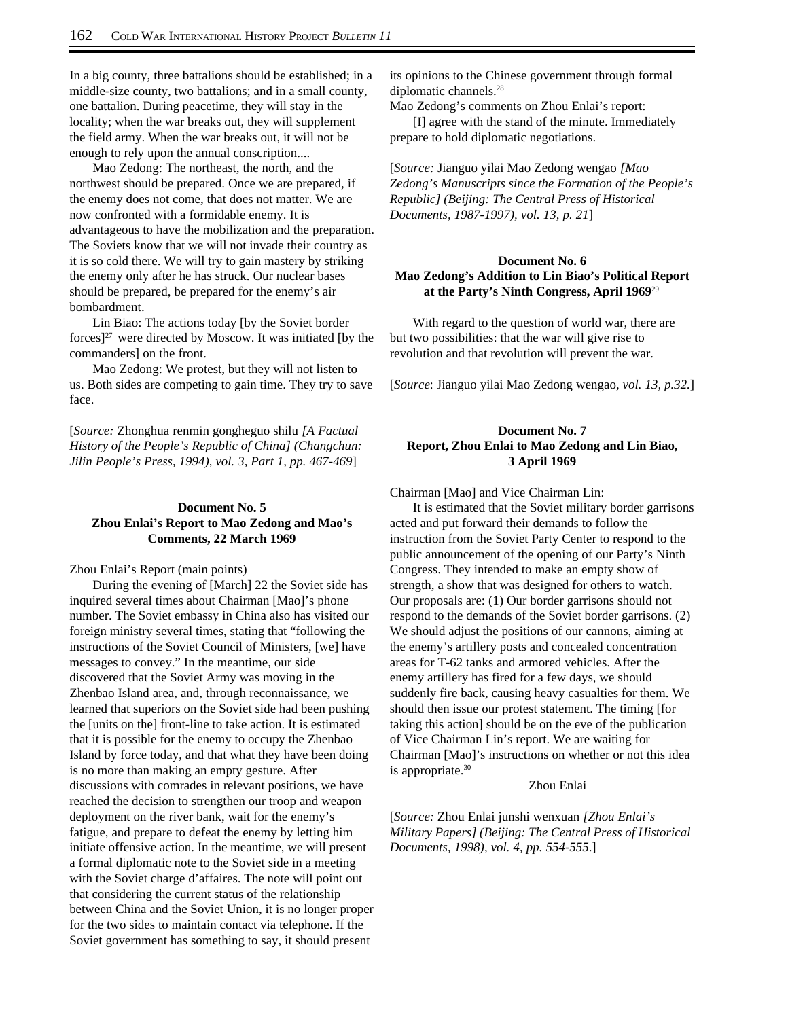In a big county, three battalions should be established; in a middle-size county, two battalions; and in a small county, one battalion. During peacetime, they will stay in the locality; when the war breaks out, they will supplement the field army. When the war breaks out, it will not be enough to rely upon the annual conscription....

Mao Zedong: The northeast, the north, and the northwest should be prepared. Once we are prepared, if the enemy does not come, that does not matter. We are now confronted with a formidable enemy. It is advantageous to have the mobilization and the preparation. The Soviets know that we will not invade their country as it is so cold there. We will try to gain mastery by striking the enemy only after he has struck. Our nuclear bases should be prepared, be prepared for the enemy's air bombardment.

Lin Biao: The actions today [by the Soviet border forces]27 were directed by Moscow. It was initiated [by the commanders] on the front.

Mao Zedong: We protest, but they will not listen to us. Both sides are competing to gain time. They try to save face.

[*Source:* Zhonghua renmin gongheguo shilu *[A Factual History of the People's Republic of China] (Changchun: Jilin People's Press, 1994), vol. 3, Part 1, pp. 467-469*]

## **Document No. 5 Zhou Enlai's Report to Mao Zedong and Mao's Comments, 22 March 1969**

Zhou Enlai's Report (main points)

During the evening of [March] 22 the Soviet side has inquired several times about Chairman [Mao]'s phone number. The Soviet embassy in China also has visited our foreign ministry several times, stating that "following the instructions of the Soviet Council of Ministers, [we] have messages to convey." In the meantime, our side discovered that the Soviet Army was moving in the Zhenbao Island area, and, through reconnaissance, we learned that superiors on the Soviet side had been pushing the [units on the] front-line to take action. It is estimated that it is possible for the enemy to occupy the Zhenbao Island by force today, and that what they have been doing is no more than making an empty gesture. After discussions with comrades in relevant positions, we have reached the decision to strengthen our troop and weapon deployment on the river bank, wait for the enemy's fatigue, and prepare to defeat the enemy by letting him initiate offensive action. In the meantime, we will present a formal diplomatic note to the Soviet side in a meeting with the Soviet charge d'affaires. The note will point out that considering the current status of the relationship between China and the Soviet Union, it is no longer proper for the two sides to maintain contact via telephone. If the Soviet government has something to say, it should present

its opinions to the Chinese government through formal diplomatic channels.28

Mao Zedong's comments on Zhou Enlai's report: [I] agree with the stand of the minute. Immediately prepare to hold diplomatic negotiations.

[*Source:* Jianguo yilai Mao Zedong wengao *[Mao Zedong's Manuscripts since the Formation of the People's Republic] (Beijing: The Central Press of Historical Documents, 1987-1997), vol. 13, p. 21*]

## **Document No. 6 Mao Zedong's Addition to Lin Biao's Political Report at the Party's Ninth Congress, April 1969**<sup>29</sup>

With regard to the question of world war, there are but two possibilities: that the war will give rise to revolution and that revolution will prevent the war.

[*Source*: Jianguo yilai Mao Zedong wengao*, vol. 13, p.32.*]

## **Document No. 7 Report, Zhou Enlai to Mao Zedong and Lin Biao, 3 April 1969**

Chairman [Mao] and Vice Chairman Lin:

It is estimated that the Soviet military border garrisons acted and put forward their demands to follow the instruction from the Soviet Party Center to respond to the public announcement of the opening of our Party's Ninth Congress. They intended to make an empty show of strength, a show that was designed for others to watch. Our proposals are: (1) Our border garrisons should not respond to the demands of the Soviet border garrisons. (2) We should adjust the positions of our cannons, aiming at the enemy's artillery posts and concealed concentration areas for T-62 tanks and armored vehicles. After the enemy artillery has fired for a few days, we should suddenly fire back, causing heavy casualties for them. We should then issue our protest statement. The timing [for taking this action] should be on the eve of the publication of Vice Chairman Lin's report. We are waiting for Chairman [Mao]'s instructions on whether or not this idea is appropriate.<sup>30</sup>

#### Zhou Enlai

[*Source:* Zhou Enlai junshi wenxuan *[Zhou Enlai's Military Papers] (Beijing: The Central Press of Historical Documents, 1998), vol. 4, pp. 554-555*.]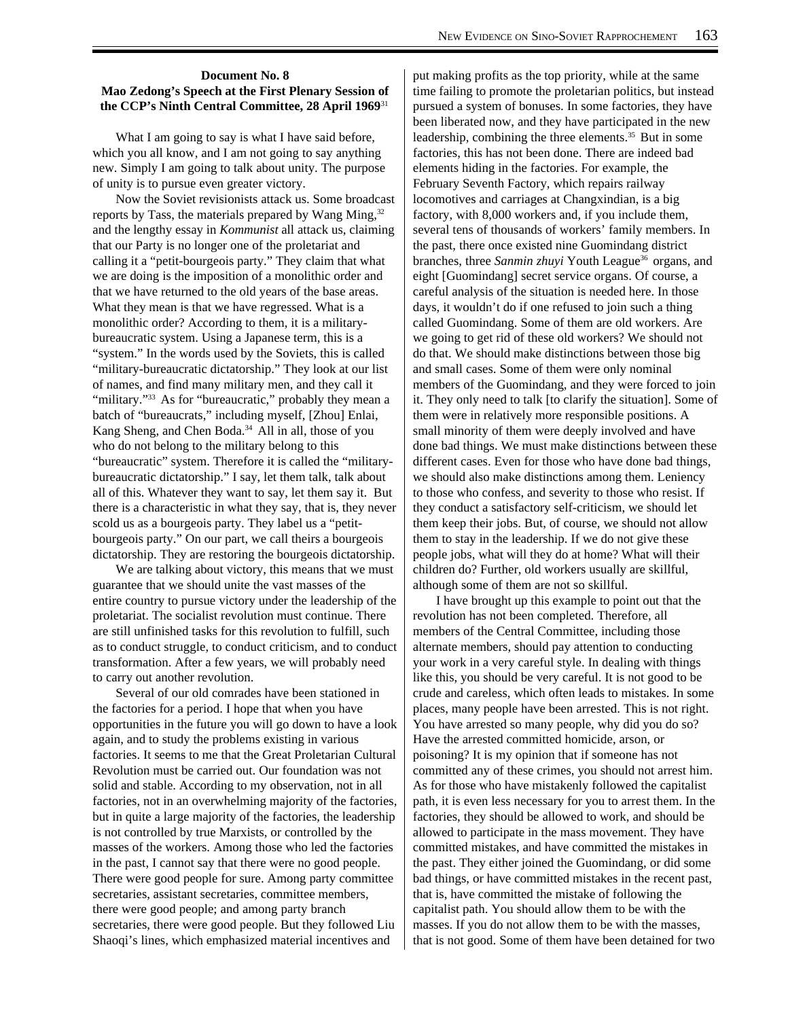## **Document No. 8 Mao Zedong's Speech at the First Plenary Session of the CCP's Ninth Central Committee, 28 April 1969**<sup>31</sup>

What I am going to say is what I have said before, which you all know, and I am not going to say anything new. Simply I am going to talk about unity. The purpose of unity is to pursue even greater victory.

Now the Soviet revisionists attack us. Some broadcast reports by Tass, the materials prepared by Wang Ming,<sup>32</sup> and the lengthy essay in *Kommunist* all attack us, claiming that our Party is no longer one of the proletariat and calling it a "petit-bourgeois party." They claim that what we are doing is the imposition of a monolithic order and that we have returned to the old years of the base areas. What they mean is that we have regressed. What is a monolithic order? According to them, it is a militarybureaucratic system. Using a Japanese term, this is a "system." In the words used by the Soviets, this is called "military-bureaucratic dictatorship." They look at our list of names, and find many military men, and they call it "military."<sup>33</sup> As for "bureaucratic," probably they mean a batch of "bureaucrats," including myself, [Zhou] Enlai, Kang Sheng, and Chen Boda.<sup>34</sup> All in all, those of you who do not belong to the military belong to this "bureaucratic" system. Therefore it is called the "militarybureaucratic dictatorship." I say, let them talk, talk about all of this. Whatever they want to say, let them say it. But there is a characteristic in what they say, that is, they never scold us as a bourgeois party. They label us a "petitbourgeois party." On our part, we call theirs a bourgeois dictatorship. They are restoring the bourgeois dictatorship.

We are talking about victory, this means that we must guarantee that we should unite the vast masses of the entire country to pursue victory under the leadership of the proletariat. The socialist revolution must continue. There are still unfinished tasks for this revolution to fulfill, such as to conduct struggle, to conduct criticism, and to conduct transformation. After a few years, we will probably need to carry out another revolution.

Several of our old comrades have been stationed in the factories for a period. I hope that when you have opportunities in the future you will go down to have a look again, and to study the problems existing in various factories. It seems to me that the Great Proletarian Cultural Revolution must be carried out. Our foundation was not solid and stable. According to my observation, not in all factories, not in an overwhelming majority of the factories, but in quite a large majority of the factories, the leadership is not controlled by true Marxists, or controlled by the masses of the workers. Among those who led the factories in the past, I cannot say that there were no good people. There were good people for sure. Among party committee secretaries, assistant secretaries, committee members, there were good people; and among party branch secretaries, there were good people. But they followed Liu Shaoqi's lines, which emphasized material incentives and

put making profits as the top priority, while at the same time failing to promote the proletarian politics, but instead pursued a system of bonuses. In some factories, they have been liberated now, and they have participated in the new leadership, combining the three elements.<sup>35</sup> But in some factories, this has not been done. There are indeed bad elements hiding in the factories. For example, the February Seventh Factory, which repairs railway locomotives and carriages at Changxindian, is a big factory, with 8,000 workers and, if you include them, several tens of thousands of workers' family members. In the past, there once existed nine Guomindang district branches, three *Sanmin zhuyi* Youth League<sup>36</sup> organs, and eight [Guomindang] secret service organs. Of course, a careful analysis of the situation is needed here. In those days, it wouldn't do if one refused to join such a thing called Guomindang. Some of them are old workers. Are we going to get rid of these old workers? We should not do that. We should make distinctions between those big and small cases. Some of them were only nominal members of the Guomindang, and they were forced to join it. They only need to talk [to clarify the situation]. Some of them were in relatively more responsible positions. A small minority of them were deeply involved and have done bad things. We must make distinctions between these different cases. Even for those who have done bad things, we should also make distinctions among them. Leniency to those who confess, and severity to those who resist. If they conduct a satisfactory self-criticism, we should let them keep their jobs. But, of course, we should not allow them to stay in the leadership. If we do not give these people jobs, what will they do at home? What will their children do? Further, old workers usually are skillful, although some of them are not so skillful.

I have brought up this example to point out that the revolution has not been completed. Therefore, all members of the Central Committee, including those alternate members, should pay attention to conducting your work in a very careful style. In dealing with things like this, you should be very careful. It is not good to be crude and careless, which often leads to mistakes. In some places, many people have been arrested. This is not right. You have arrested so many people, why did you do so? Have the arrested committed homicide, arson, or poisoning? It is my opinion that if someone has not committed any of these crimes, you should not arrest him. As for those who have mistakenly followed the capitalist path, it is even less necessary for you to arrest them. In the factories, they should be allowed to work, and should be allowed to participate in the mass movement. They have committed mistakes, and have committed the mistakes in the past. They either joined the Guomindang, or did some bad things, or have committed mistakes in the recent past, that is, have committed the mistake of following the capitalist path. You should allow them to be with the masses. If you do not allow them to be with the masses, that is not good. Some of them have been detained for two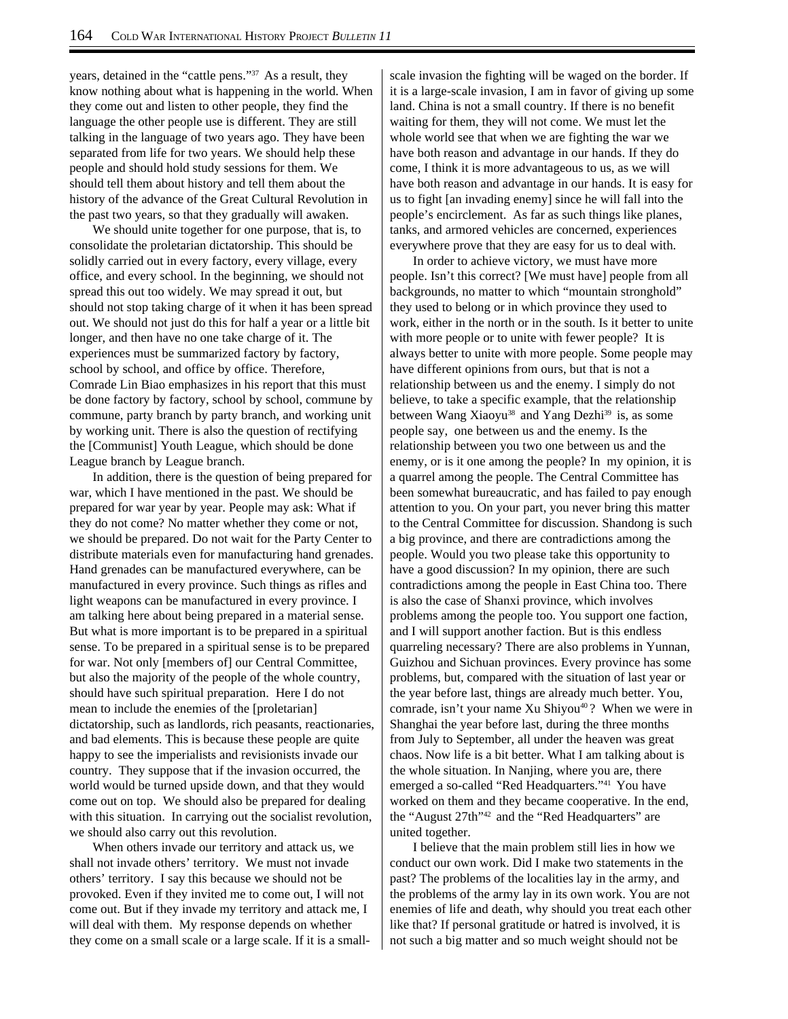years, detained in the "cattle pens."37 As a result, they know nothing about what is happening in the world. When they come out and listen to other people, they find the language the other people use is different. They are still talking in the language of two years ago. They have been separated from life for two years. We should help these people and should hold study sessions for them. We should tell them about history and tell them about the history of the advance of the Great Cultural Revolution in the past two years, so that they gradually will awaken.

We should unite together for one purpose, that is, to consolidate the proletarian dictatorship. This should be solidly carried out in every factory, every village, every office, and every school. In the beginning, we should not spread this out too widely. We may spread it out, but should not stop taking charge of it when it has been spread out. We should not just do this for half a year or a little bit longer, and then have no one take charge of it. The experiences must be summarized factory by factory, school by school, and office by office. Therefore, Comrade Lin Biao emphasizes in his report that this must be done factory by factory, school by school, commune by commune, party branch by party branch, and working unit by working unit. There is also the question of rectifying the [Communist] Youth League, which should be done League branch by League branch.

In addition, there is the question of being prepared for war, which I have mentioned in the past. We should be prepared for war year by year. People may ask: What if they do not come? No matter whether they come or not, we should be prepared. Do not wait for the Party Center to distribute materials even for manufacturing hand grenades. Hand grenades can be manufactured everywhere, can be manufactured in every province. Such things as rifles and light weapons can be manufactured in every province. I am talking here about being prepared in a material sense. But what is more important is to be prepared in a spiritual sense. To be prepared in a spiritual sense is to be prepared for war. Not only [members of] our Central Committee, but also the majority of the people of the whole country, should have such spiritual preparation. Here I do not mean to include the enemies of the [proletarian] dictatorship, such as landlords, rich peasants, reactionaries, and bad elements. This is because these people are quite happy to see the imperialists and revisionists invade our country. They suppose that if the invasion occurred, the world would be turned upside down, and that they would come out on top. We should also be prepared for dealing with this situation. In carrying out the socialist revolution, we should also carry out this revolution.

When others invade our territory and attack us, we shall not invade others' territory. We must not invade others' territory. I say this because we should not be provoked. Even if they invited me to come out, I will not come out. But if they invade my territory and attack me, I will deal with them. My response depends on whether they come on a small scale or a large scale. If it is a small-

scale invasion the fighting will be waged on the border. If it is a large-scale invasion, I am in favor of giving up some land. China is not a small country. If there is no benefit waiting for them, they will not come. We must let the whole world see that when we are fighting the war we have both reason and advantage in our hands. If they do come, I think it is more advantageous to us, as we will have both reason and advantage in our hands. It is easy for us to fight [an invading enemy] since he will fall into the people's encirclement. As far as such things like planes, tanks, and armored vehicles are concerned, experiences everywhere prove that they are easy for us to deal with.

In order to achieve victory, we must have more people. Isn't this correct? [We must have] people from all backgrounds, no matter to which "mountain stronghold" they used to belong or in which province they used to work, either in the north or in the south. Is it better to unite with more people or to unite with fewer people? It is always better to unite with more people. Some people may have different opinions from ours, but that is not a relationship between us and the enemy. I simply do not believe, to take a specific example, that the relationship between Wang Xiaoyu<sup>38</sup> and Yang Dezhi<sup>39</sup> is, as some people say, one between us and the enemy. Is the relationship between you two one between us and the enemy, or is it one among the people? In my opinion, it is a quarrel among the people. The Central Committee has been somewhat bureaucratic, and has failed to pay enough attention to you. On your part, you never bring this matter to the Central Committee for discussion. Shandong is such a big province, and there are contradictions among the people. Would you two please take this opportunity to have a good discussion? In my opinion, there are such contradictions among the people in East China too. There is also the case of Shanxi province, which involves problems among the people too. You support one faction, and I will support another faction. But is this endless quarreling necessary? There are also problems in Yunnan, Guizhou and Sichuan provinces. Every province has some problems, but, compared with the situation of last year or the year before last, things are already much better. You, comrade, isn't your name Xu Shiyou<sup>40</sup>? When we were in Shanghai the year before last, during the three months from July to September, all under the heaven was great chaos. Now life is a bit better. What I am talking about is the whole situation. In Nanjing, where you are, there emerged a so-called "Red Headquarters."41 You have worked on them and they became cooperative. In the end, the "August 27th"<sup>42</sup> and the "Red Headquarters" are united together.

I believe that the main problem still lies in how we conduct our own work. Did I make two statements in the past? The problems of the localities lay in the army, and the problems of the army lay in its own work. You are not enemies of life and death, why should you treat each other like that? If personal gratitude or hatred is involved, it is not such a big matter and so much weight should not be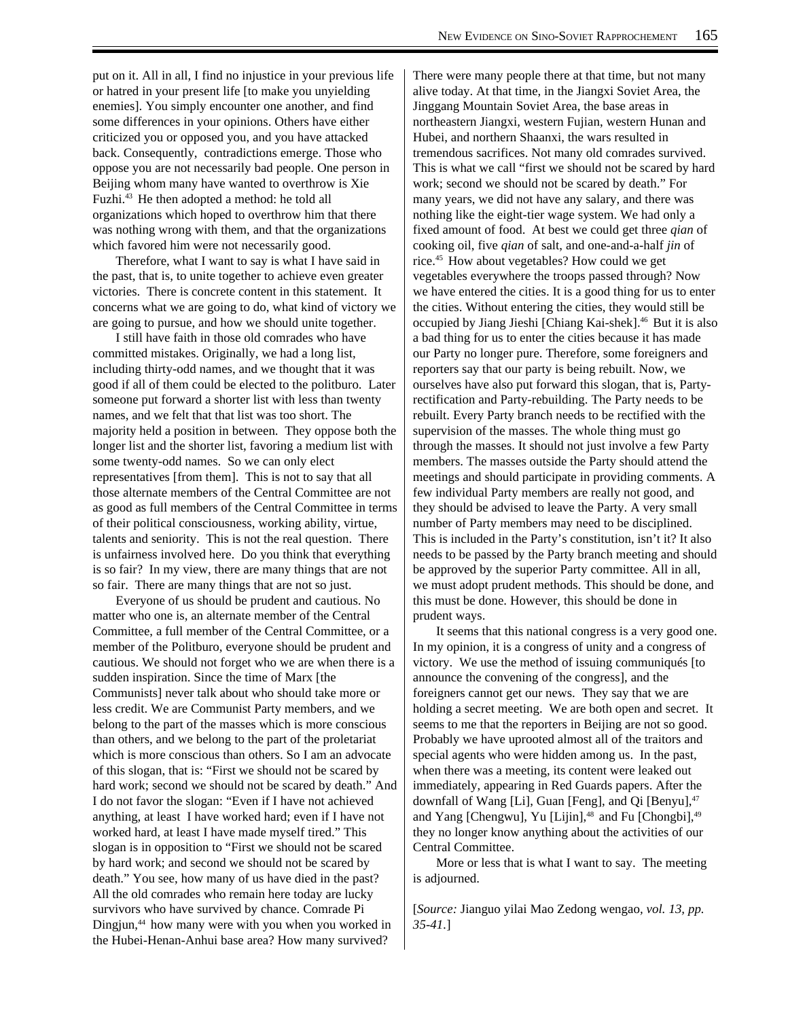put on it. All in all, I find no injustice in your previous life or hatred in your present life [to make you unyielding enemies]. You simply encounter one another, and find some differences in your opinions. Others have either criticized you or opposed you, and you have attacked back. Consequently, contradictions emerge. Those who oppose you are not necessarily bad people. One person in Beijing whom many have wanted to overthrow is Xie Fuzhi.43 He then adopted a method: he told all organizations which hoped to overthrow him that there was nothing wrong with them, and that the organizations which favored him were not necessarily good.

Therefore, what I want to say is what I have said in the past, that is, to unite together to achieve even greater victories. There is concrete content in this statement. It concerns what we are going to do, what kind of victory we are going to pursue, and how we should unite together.

I still have faith in those old comrades who have committed mistakes. Originally, we had a long list, including thirty-odd names, and we thought that it was good if all of them could be elected to the politburo. Later someone put forward a shorter list with less than twenty names, and we felt that that list was too short. The majority held a position in between. They oppose both the longer list and the shorter list, favoring a medium list with some twenty-odd names. So we can only elect representatives [from them]. This is not to say that all those alternate members of the Central Committee are not as good as full members of the Central Committee in terms of their political consciousness, working ability, virtue, talents and seniority. This is not the real question. There is unfairness involved here. Do you think that everything is so fair? In my view, there are many things that are not so fair. There are many things that are not so just.

Everyone of us should be prudent and cautious. No matter who one is, an alternate member of the Central Committee, a full member of the Central Committee, or a member of the Politburo, everyone should be prudent and cautious. We should not forget who we are when there is a sudden inspiration. Since the time of Marx [the Communists] never talk about who should take more or less credit. We are Communist Party members, and we belong to the part of the masses which is more conscious than others, and we belong to the part of the proletariat which is more conscious than others. So I am an advocate of this slogan, that is: "First we should not be scared by hard work; second we should not be scared by death." And I do not favor the slogan: "Even if I have not achieved anything, at least I have worked hard; even if I have not worked hard, at least I have made myself tired." This slogan is in opposition to "First we should not be scared by hard work; and second we should not be scared by death." You see, how many of us have died in the past? All the old comrades who remain here today are lucky survivors who have survived by chance. Comrade Pi Dingjun,<sup>44</sup> how many were with you when you worked in the Hubei-Henan-Anhui base area? How many survived?

There were many people there at that time, but not many alive today. At that time, in the Jiangxi Soviet Area, the Jinggang Mountain Soviet Area, the base areas in northeastern Jiangxi, western Fujian, western Hunan and Hubei, and northern Shaanxi, the wars resulted in tremendous sacrifices. Not many old comrades survived. This is what we call "first we should not be scared by hard work; second we should not be scared by death." For many years, we did not have any salary, and there was nothing like the eight-tier wage system. We had only a fixed amount of food. At best we could get three *qian* of cooking oil, five *qian* of salt, and one-and-a-half *jin* of rice.45 How about vegetables? How could we get vegetables everywhere the troops passed through? Now we have entered the cities. It is a good thing for us to enter the cities. Without entering the cities, they would still be occupied by Jiang Jieshi [Chiang Kai-shek].46 But it is also a bad thing for us to enter the cities because it has made our Party no longer pure. Therefore, some foreigners and reporters say that our party is being rebuilt. Now, we ourselves have also put forward this slogan, that is, Partyrectification and Party-rebuilding. The Party needs to be rebuilt. Every Party branch needs to be rectified with the supervision of the masses. The whole thing must go through the masses. It should not just involve a few Party members. The masses outside the Party should attend the meetings and should participate in providing comments. A few individual Party members are really not good, and they should be advised to leave the Party. A very small number of Party members may need to be disciplined. This is included in the Party's constitution, isn't it? It also needs to be passed by the Party branch meeting and should be approved by the superior Party committee. All in all, we must adopt prudent methods. This should be done, and this must be done. However, this should be done in prudent ways.

It seems that this national congress is a very good one. In my opinion, it is a congress of unity and a congress of victory. We use the method of issuing communiqués [to announce the convening of the congress], and the foreigners cannot get our news. They say that we are holding a secret meeting. We are both open and secret. It seems to me that the reporters in Beijing are not so good. Probably we have uprooted almost all of the traitors and special agents who were hidden among us. In the past, when there was a meeting, its content were leaked out immediately, appearing in Red Guards papers. After the downfall of Wang [Li], Guan [Feng], and Qi [Benyu], $47$ and Yang [Chengwu], Yu [Lijin],<sup>48</sup> and Fu [Chongbi],<sup>49</sup> they no longer know anything about the activities of our Central Committee.

More or less that is what I want to say. The meeting is adjourned.

[*Source:* Jianguo yilai Mao Zedong wengao*, vol. 13, pp. 35-41.*]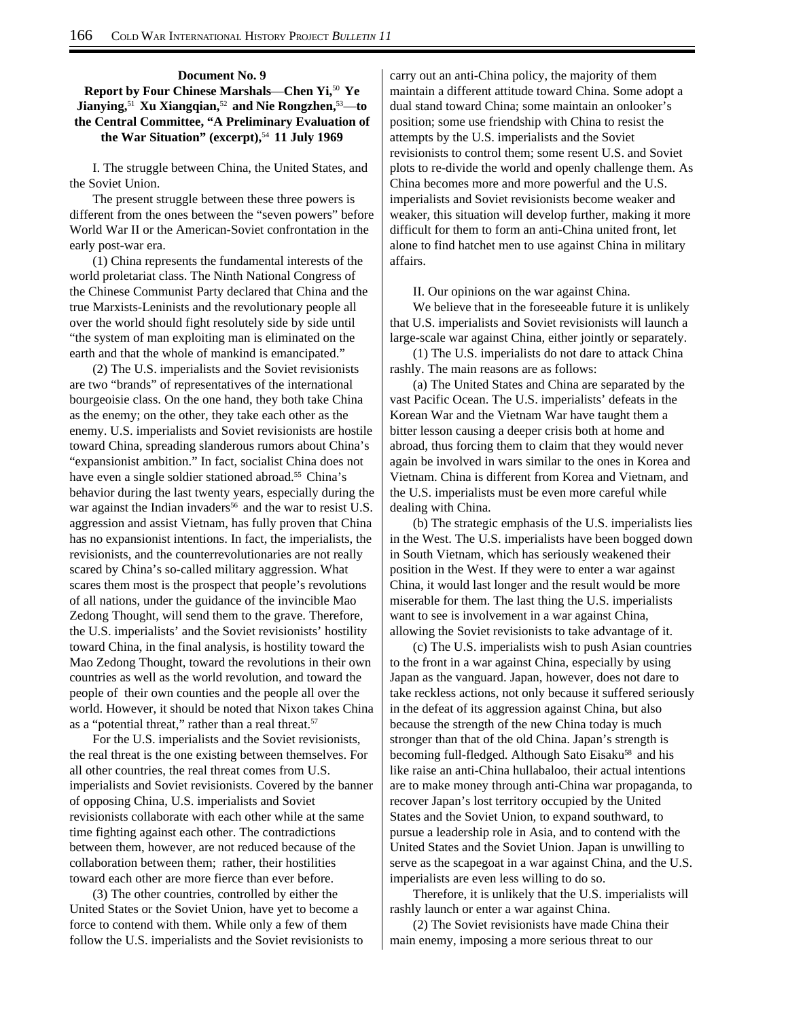#### **Document No. 9**

## **Report by Four Chinese Marshals**—**Chen Yi,**<sup>50</sup> **Ye Jianying,**<sup>51</sup> **Xu Xiangqian,**<sup>52</sup> **and Nie Rongzhen,**53—**to the Central Committee, "A Preliminary Evaluation of the War Situation" (excerpt),**<sup>54</sup> **11 July 1969**

I. The struggle between China, the United States, and the Soviet Union.

The present struggle between these three powers is different from the ones between the "seven powers" before World War II or the American-Soviet confrontation in the early post-war era.

(1) China represents the fundamental interests of the world proletariat class. The Ninth National Congress of the Chinese Communist Party declared that China and the true Marxists-Leninists and the revolutionary people all over the world should fight resolutely side by side until "the system of man exploiting man is eliminated on the earth and that the whole of mankind is emancipated."

(2) The U.S. imperialists and the Soviet revisionists are two "brands" of representatives of the international bourgeoisie class. On the one hand, they both take China as the enemy; on the other, they take each other as the enemy. U.S. imperialists and Soviet revisionists are hostile toward China, spreading slanderous rumors about China's "expansionist ambition." In fact, socialist China does not have even a single soldier stationed abroad.<sup>55</sup> China's behavior during the last twenty years, especially during the war against the Indian invaders<sup>56</sup> and the war to resist U.S. aggression and assist Vietnam, has fully proven that China has no expansionist intentions. In fact, the imperialists, the revisionists, and the counterrevolutionaries are not really scared by China's so-called military aggression. What scares them most is the prospect that people's revolutions of all nations, under the guidance of the invincible Mao Zedong Thought, will send them to the grave. Therefore, the U.S. imperialists' and the Soviet revisionists' hostility toward China, in the final analysis, is hostility toward the Mao Zedong Thought, toward the revolutions in their own countries as well as the world revolution, and toward the people of their own counties and the people all over the world. However, it should be noted that Nixon takes China as a "potential threat," rather than a real threat.<sup>57</sup>

For the U.S. imperialists and the Soviet revisionists, the real threat is the one existing between themselves. For all other countries, the real threat comes from U.S. imperialists and Soviet revisionists. Covered by the banner of opposing China, U.S. imperialists and Soviet revisionists collaborate with each other while at the same time fighting against each other. The contradictions between them, however, are not reduced because of the collaboration between them; rather, their hostilities toward each other are more fierce than ever before.

(3) The other countries, controlled by either the United States or the Soviet Union, have yet to become a force to contend with them. While only a few of them follow the U.S. imperialists and the Soviet revisionists to

carry out an anti-China policy, the majority of them maintain a different attitude toward China. Some adopt a dual stand toward China; some maintain an onlooker's position; some use friendship with China to resist the attempts by the U.S. imperialists and the Soviet revisionists to control them; some resent U.S. and Soviet plots to re-divide the world and openly challenge them. As China becomes more and more powerful and the U.S. imperialists and Soviet revisionists become weaker and weaker, this situation will develop further, making it more difficult for them to form an anti-China united front, let alone to find hatchet men to use against China in military affairs.

II. Our opinions on the war against China.

We believe that in the foreseeable future it is unlikely that U.S. imperialists and Soviet revisionists will launch a large-scale war against China, either jointly or separately.

(1) The U.S. imperialists do not dare to attack China rashly. The main reasons are as follows:

(a) The United States and China are separated by the vast Pacific Ocean. The U.S. imperialists' defeats in the Korean War and the Vietnam War have taught them a bitter lesson causing a deeper crisis both at home and abroad, thus forcing them to claim that they would never again be involved in wars similar to the ones in Korea and Vietnam. China is different from Korea and Vietnam, and the U.S. imperialists must be even more careful while dealing with China.

(b) The strategic emphasis of the U.S. imperialists lies in the West. The U.S. imperialists have been bogged down in South Vietnam, which has seriously weakened their position in the West. If they were to enter a war against China, it would last longer and the result would be more miserable for them. The last thing the U.S. imperialists want to see is involvement in a war against China, allowing the Soviet revisionists to take advantage of it.

(c) The U.S. imperialists wish to push Asian countries to the front in a war against China, especially by using Japan as the vanguard. Japan, however, does not dare to take reckless actions, not only because it suffered seriously in the defeat of its aggression against China, but also because the strength of the new China today is much stronger than that of the old China. Japan's strength is becoming full-fledged. Although Sato Eisaku<sup>58</sup> and his like raise an anti-China hullabaloo, their actual intentions are to make money through anti-China war propaganda, to recover Japan's lost territory occupied by the United States and the Soviet Union, to expand southward, to pursue a leadership role in Asia, and to contend with the United States and the Soviet Union. Japan is unwilling to serve as the scapegoat in a war against China, and the U.S. imperialists are even less willing to do so.

Therefore, it is unlikely that the U.S. imperialists will rashly launch or enter a war against China.

(2) The Soviet revisionists have made China their main enemy, imposing a more serious threat to our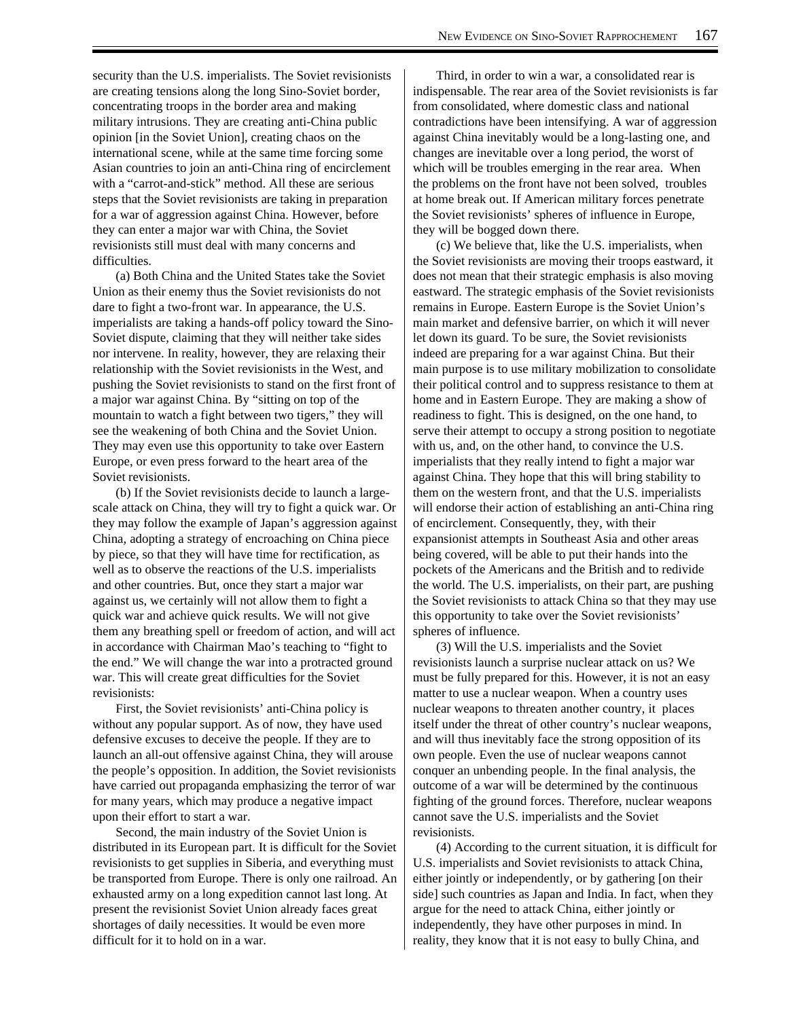security than the U.S. imperialists. The Soviet revisionists are creating tensions along the long Sino-Soviet border, concentrating troops in the border area and making military intrusions. They are creating anti-China public opinion [in the Soviet Union], creating chaos on the international scene, while at the same time forcing some Asian countries to join an anti-China ring of encirclement with a "carrot-and-stick" method. All these are serious steps that the Soviet revisionists are taking in preparation for a war of aggression against China. However, before they can enter a major war with China, the Soviet revisionists still must deal with many concerns and difficulties.

(a) Both China and the United States take the Soviet Union as their enemy thus the Soviet revisionists do not dare to fight a two-front war. In appearance, the U.S. imperialists are taking a hands-off policy toward the Sino-Soviet dispute, claiming that they will neither take sides nor intervene. In reality, however, they are relaxing their relationship with the Soviet revisionists in the West, and pushing the Soviet revisionists to stand on the first front of a major war against China. By "sitting on top of the mountain to watch a fight between two tigers," they will see the weakening of both China and the Soviet Union. They may even use this opportunity to take over Eastern Europe, or even press forward to the heart area of the Soviet revisionists.

(b) If the Soviet revisionists decide to launch a largescale attack on China, they will try to fight a quick war. Or they may follow the example of Japan's aggression against China, adopting a strategy of encroaching on China piece by piece, so that they will have time for rectification, as well as to observe the reactions of the U.S. imperialists and other countries. But, once they start a major war against us, we certainly will not allow them to fight a quick war and achieve quick results. We will not give them any breathing spell or freedom of action, and will act in accordance with Chairman Mao's teaching to "fight to the end." We will change the war into a protracted ground war. This will create great difficulties for the Soviet revisionists:

First, the Soviet revisionists' anti-China policy is without any popular support. As of now, they have used defensive excuses to deceive the people. If they are to launch an all-out offensive against China, they will arouse the people's opposition. In addition, the Soviet revisionists have carried out propaganda emphasizing the terror of war for many years, which may produce a negative impact upon their effort to start a war.

Second, the main industry of the Soviet Union is distributed in its European part. It is difficult for the Soviet revisionists to get supplies in Siberia, and everything must be transported from Europe. There is only one railroad. An exhausted army on a long expedition cannot last long. At present the revisionist Soviet Union already faces great shortages of daily necessities. It would be even more difficult for it to hold on in a war.

Third, in order to win a war, a consolidated rear is indispensable. The rear area of the Soviet revisionists is far from consolidated, where domestic class and national contradictions have been intensifying. A war of aggression against China inevitably would be a long-lasting one, and changes are inevitable over a long period, the worst of which will be troubles emerging in the rear area. When the problems on the front have not been solved, troubles at home break out. If American military forces penetrate the Soviet revisionists' spheres of influence in Europe, they will be bogged down there.

(c) We believe that, like the U.S. imperialists, when the Soviet revisionists are moving their troops eastward, it does not mean that their strategic emphasis is also moving eastward. The strategic emphasis of the Soviet revisionists remains in Europe. Eastern Europe is the Soviet Union's main market and defensive barrier, on which it will never let down its guard. To be sure, the Soviet revisionists indeed are preparing for a war against China. But their main purpose is to use military mobilization to consolidate their political control and to suppress resistance to them at home and in Eastern Europe. They are making a show of readiness to fight. This is designed, on the one hand, to serve their attempt to occupy a strong position to negotiate with us, and, on the other hand, to convince the U.S. imperialists that they really intend to fight a major war against China. They hope that this will bring stability to them on the western front, and that the U.S. imperialists will endorse their action of establishing an anti-China ring of encirclement. Consequently, they, with their expansionist attempts in Southeast Asia and other areas being covered, will be able to put their hands into the pockets of the Americans and the British and to redivide the world. The U.S. imperialists, on their part, are pushing the Soviet revisionists to attack China so that they may use this opportunity to take over the Soviet revisionists' spheres of influence.

(3) Will the U.S. imperialists and the Soviet revisionists launch a surprise nuclear attack on us? We must be fully prepared for this. However, it is not an easy matter to use a nuclear weapon. When a country uses nuclear weapons to threaten another country, it places itself under the threat of other country's nuclear weapons, and will thus inevitably face the strong opposition of its own people. Even the use of nuclear weapons cannot conquer an unbending people. In the final analysis, the outcome of a war will be determined by the continuous fighting of the ground forces. Therefore, nuclear weapons cannot save the U.S. imperialists and the Soviet revisionists.

(4) According to the current situation, it is difficult for U.S. imperialists and Soviet revisionists to attack China, either jointly or independently, or by gathering [on their side] such countries as Japan and India. In fact, when they argue for the need to attack China, either jointly or independently, they have other purposes in mind. In reality, they know that it is not easy to bully China, and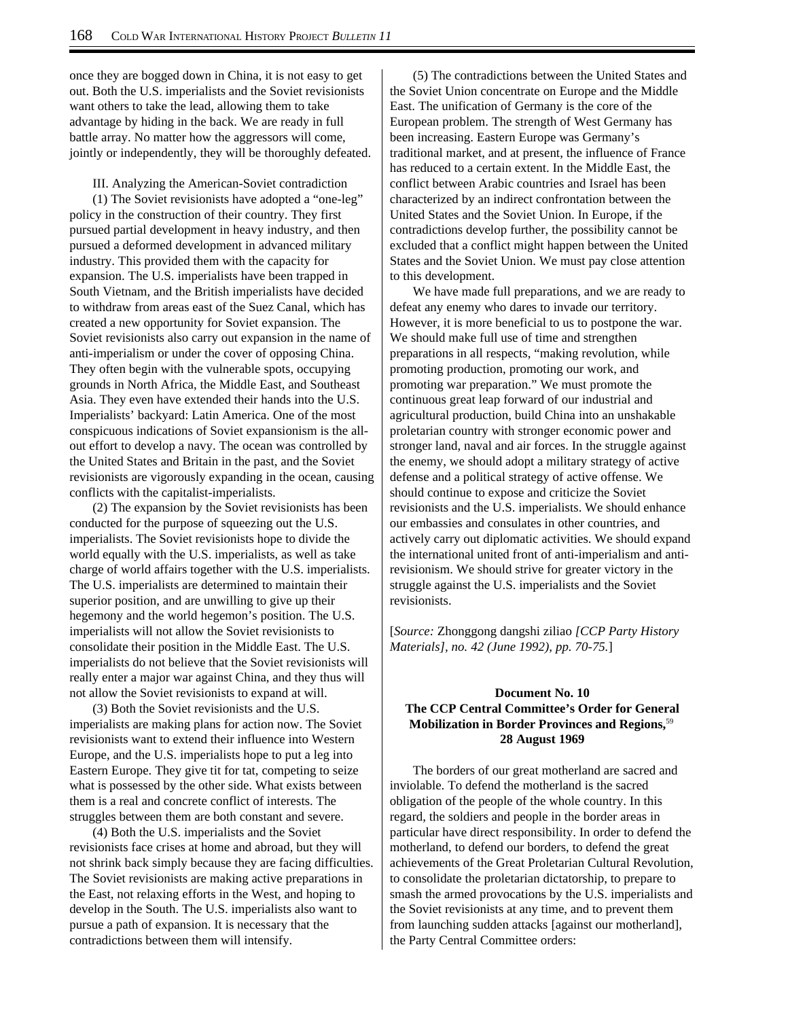once they are bogged down in China, it is not easy to get out. Both the U.S. imperialists and the Soviet revisionists want others to take the lead, allowing them to take advantage by hiding in the back. We are ready in full battle array. No matter how the aggressors will come, jointly or independently, they will be thoroughly defeated.

III. Analyzing the American-Soviet contradiction

(1) The Soviet revisionists have adopted a "one-leg" policy in the construction of their country. They first pursued partial development in heavy industry, and then pursued a deformed development in advanced military industry. This provided them with the capacity for expansion. The U.S. imperialists have been trapped in South Vietnam, and the British imperialists have decided to withdraw from areas east of the Suez Canal, which has created a new opportunity for Soviet expansion. The Soviet revisionists also carry out expansion in the name of anti-imperialism or under the cover of opposing China. They often begin with the vulnerable spots, occupying grounds in North Africa, the Middle East, and Southeast Asia. They even have extended their hands into the U.S. Imperialists' backyard: Latin America. One of the most conspicuous indications of Soviet expansionism is the allout effort to develop a navy. The ocean was controlled by the United States and Britain in the past, and the Soviet revisionists are vigorously expanding in the ocean, causing conflicts with the capitalist-imperialists.

(2) The expansion by the Soviet revisionists has been conducted for the purpose of squeezing out the U.S. imperialists. The Soviet revisionists hope to divide the world equally with the U.S. imperialists, as well as take charge of world affairs together with the U.S. imperialists. The U.S. imperialists are determined to maintain their superior position, and are unwilling to give up their hegemony and the world hegemon's position. The U.S. imperialists will not allow the Soviet revisionists to consolidate their position in the Middle East. The U.S. imperialists do not believe that the Soviet revisionists will really enter a major war against China, and they thus will not allow the Soviet revisionists to expand at will.

(3) Both the Soviet revisionists and the U.S. imperialists are making plans for action now. The Soviet revisionists want to extend their influence into Western Europe, and the U.S. imperialists hope to put a leg into Eastern Europe. They give tit for tat, competing to seize what is possessed by the other side. What exists between them is a real and concrete conflict of interests. The struggles between them are both constant and severe.

(4) Both the U.S. imperialists and the Soviet revisionists face crises at home and abroad, but they will not shrink back simply because they are facing difficulties. The Soviet revisionists are making active preparations in the East, not relaxing efforts in the West, and hoping to develop in the South. The U.S. imperialists also want to pursue a path of expansion. It is necessary that the contradictions between them will intensify.

(5) The contradictions between the United States and the Soviet Union concentrate on Europe and the Middle East. The unification of Germany is the core of the European problem. The strength of West Germany has been increasing. Eastern Europe was Germany's traditional market, and at present, the influence of France has reduced to a certain extent. In the Middle East, the conflict between Arabic countries and Israel has been characterized by an indirect confrontation between the United States and the Soviet Union. In Europe, if the contradictions develop further, the possibility cannot be excluded that a conflict might happen between the United States and the Soviet Union. We must pay close attention to this development.

We have made full preparations, and we are ready to defeat any enemy who dares to invade our territory. However, it is more beneficial to us to postpone the war. We should make full use of time and strengthen preparations in all respects, "making revolution, while promoting production, promoting our work, and promoting war preparation." We must promote the continuous great leap forward of our industrial and agricultural production, build China into an unshakable proletarian country with stronger economic power and stronger land, naval and air forces. In the struggle against the enemy, we should adopt a military strategy of active defense and a political strategy of active offense. We should continue to expose and criticize the Soviet revisionists and the U.S. imperialists. We should enhance our embassies and consulates in other countries, and actively carry out diplomatic activities. We should expand the international united front of anti-imperialism and antirevisionism. We should strive for greater victory in the struggle against the U.S. imperialists and the Soviet revisionists.

[*Source:* Zhonggong dangshi ziliao *[CCP Party History Materials], no. 42 (June 1992), pp. 70-75.*]

## **Document No. 10 The CCP Central Committee's Order for General Mobilization in Border Provinces and Regions,**<sup>59</sup> **28 August 1969**

The borders of our great motherland are sacred and inviolable. To defend the motherland is the sacred obligation of the people of the whole country. In this regard, the soldiers and people in the border areas in particular have direct responsibility. In order to defend the motherland, to defend our borders, to defend the great achievements of the Great Proletarian Cultural Revolution, to consolidate the proletarian dictatorship, to prepare to smash the armed provocations by the U.S. imperialists and the Soviet revisionists at any time, and to prevent them from launching sudden attacks [against our motherland], the Party Central Committee orders: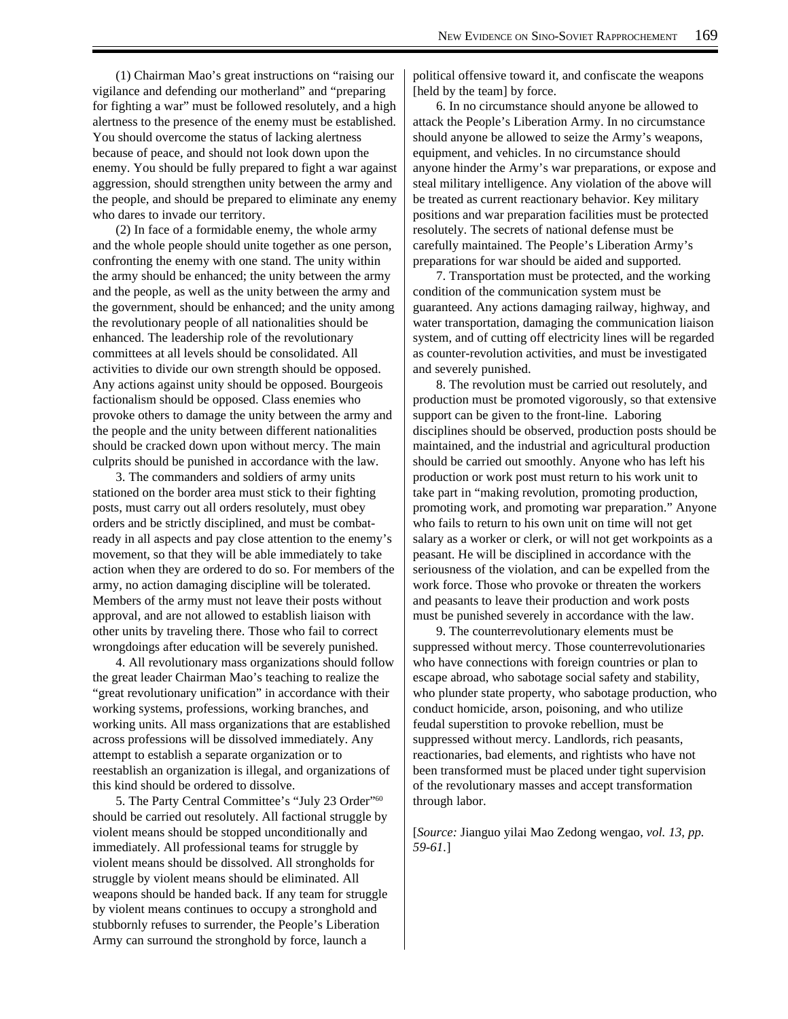(1) Chairman Mao's great instructions on "raising our vigilance and defending our motherland" and "preparing for fighting a war" must be followed resolutely, and a high alertness to the presence of the enemy must be established. You should overcome the status of lacking alertness because of peace, and should not look down upon the enemy. You should be fully prepared to fight a war against aggression, should strengthen unity between the army and the people, and should be prepared to eliminate any enemy who dares to invade our territory.

(2) In face of a formidable enemy, the whole army and the whole people should unite together as one person, confronting the enemy with one stand. The unity within the army should be enhanced; the unity between the army and the people, as well as the unity between the army and the government, should be enhanced; and the unity among the revolutionary people of all nationalities should be enhanced. The leadership role of the revolutionary committees at all levels should be consolidated. All activities to divide our own strength should be opposed. Any actions against unity should be opposed. Bourgeois factionalism should be opposed. Class enemies who provoke others to damage the unity between the army and the people and the unity between different nationalities should be cracked down upon without mercy. The main culprits should be punished in accordance with the law.

3. The commanders and soldiers of army units stationed on the border area must stick to their fighting posts, must carry out all orders resolutely, must obey orders and be strictly disciplined, and must be combatready in all aspects and pay close attention to the enemy's movement, so that they will be able immediately to take action when they are ordered to do so. For members of the army, no action damaging discipline will be tolerated. Members of the army must not leave their posts without approval, and are not allowed to establish liaison with other units by traveling there. Those who fail to correct wrongdoings after education will be severely punished.

4. All revolutionary mass organizations should follow the great leader Chairman Mao's teaching to realize the "great revolutionary unification" in accordance with their working systems, professions, working branches, and working units. All mass organizations that are established across professions will be dissolved immediately. Any attempt to establish a separate organization or to reestablish an organization is illegal, and organizations of this kind should be ordered to dissolve.

5. The Party Central Committee's "July 23 Order"60 should be carried out resolutely. All factional struggle by violent means should be stopped unconditionally and immediately. All professional teams for struggle by violent means should be dissolved. All strongholds for struggle by violent means should be eliminated. All weapons should be handed back. If any team for struggle by violent means continues to occupy a stronghold and stubbornly refuses to surrender, the People's Liberation Army can surround the stronghold by force, launch a

political offensive toward it, and confiscate the weapons [held by the team] by force.

6. In no circumstance should anyone be allowed to attack the People's Liberation Army. In no circumstance should anyone be allowed to seize the Army's weapons, equipment, and vehicles. In no circumstance should anyone hinder the Army's war preparations, or expose and steal military intelligence. Any violation of the above will be treated as current reactionary behavior. Key military positions and war preparation facilities must be protected resolutely. The secrets of national defense must be carefully maintained. The People's Liberation Army's preparations for war should be aided and supported.

7. Transportation must be protected, and the working condition of the communication system must be guaranteed. Any actions damaging railway, highway, and water transportation, damaging the communication liaison system, and of cutting off electricity lines will be regarded as counter-revolution activities, and must be investigated and severely punished.

8. The revolution must be carried out resolutely, and production must be promoted vigorously, so that extensive support can be given to the front-line. Laboring disciplines should be observed, production posts should be maintained, and the industrial and agricultural production should be carried out smoothly. Anyone who has left his production or work post must return to his work unit to take part in "making revolution, promoting production, promoting work, and promoting war preparation." Anyone who fails to return to his own unit on time will not get salary as a worker or clerk, or will not get workpoints as a peasant. He will be disciplined in accordance with the seriousness of the violation, and can be expelled from the work force. Those who provoke or threaten the workers and peasants to leave their production and work posts must be punished severely in accordance with the law.

9. The counterrevolutionary elements must be suppressed without mercy. Those counterrevolutionaries who have connections with foreign countries or plan to escape abroad, who sabotage social safety and stability, who plunder state property, who sabotage production, who conduct homicide, arson, poisoning, and who utilize feudal superstition to provoke rebellion, must be suppressed without mercy. Landlords, rich peasants, reactionaries, bad elements, and rightists who have not been transformed must be placed under tight supervision of the revolutionary masses and accept transformation through labor.

[*Source:* Jianguo yilai Mao Zedong wengao*, vol. 13, pp. 59-61.*]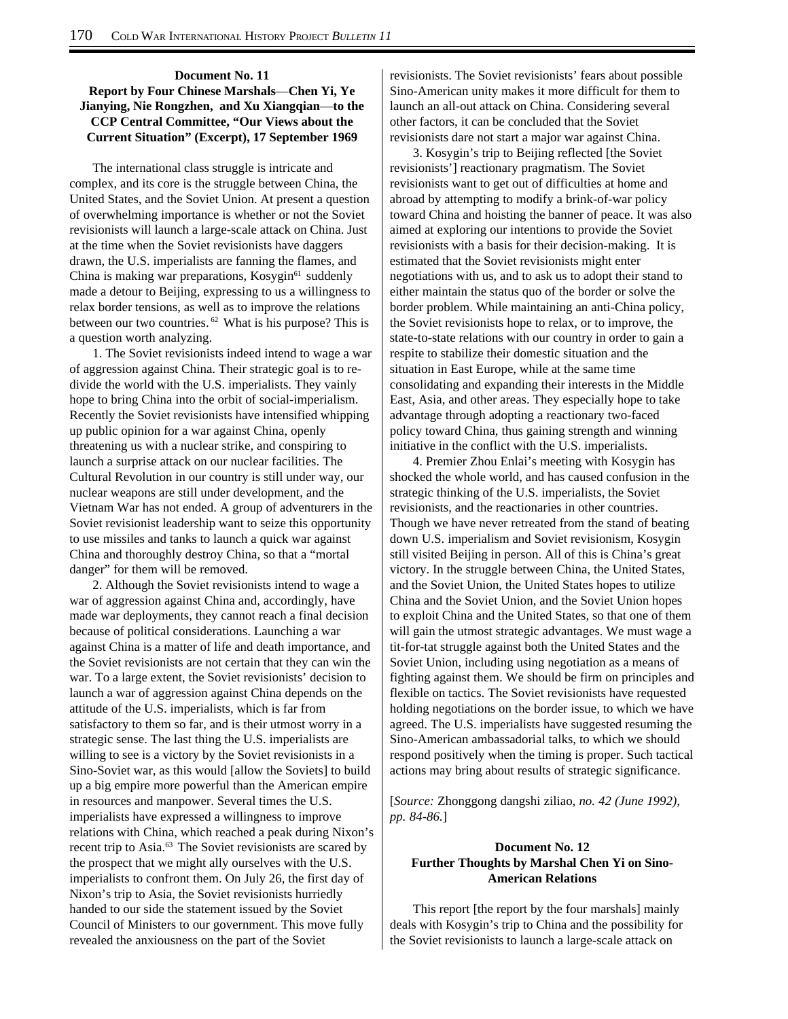## **Document No. 11 Report by Four Chinese Marshals**—**Chen Yi, Ye Jianying, Nie Rongzhen, and Xu Xiangqian**—**to the CCP Central Committee, "Our Views about the Current Situation" (Excerpt), 17 September 1969**

The international class struggle is intricate and complex, and its core is the struggle between China, the United States, and the Soviet Union. At present a question of overwhelming importance is whether or not the Soviet revisionists will launch a large-scale attack on China. Just at the time when the Soviet revisionists have daggers drawn, the U.S. imperialists are fanning the flames, and China is making war preparations, Kosygin<sup>61</sup> suddenly made a detour to Beijing, expressing to us a willingness to relax border tensions, as well as to improve the relations between our two countries. 62 What is his purpose? This is a question worth analyzing.

1. The Soviet revisionists indeed intend to wage a war of aggression against China. Their strategic goal is to redivide the world with the U.S. imperialists. They vainly hope to bring China into the orbit of social-imperialism. Recently the Soviet revisionists have intensified whipping up public opinion for a war against China, openly threatening us with a nuclear strike, and conspiring to launch a surprise attack on our nuclear facilities. The Cultural Revolution in our country is still under way, our nuclear weapons are still under development, and the Vietnam War has not ended. A group of adventurers in the Soviet revisionist leadership want to seize this opportunity to use missiles and tanks to launch a quick war against China and thoroughly destroy China, so that a "mortal danger" for them will be removed.

2. Although the Soviet revisionists intend to wage a war of aggression against China and, accordingly, have made war deployments, they cannot reach a final decision because of political considerations. Launching a war against China is a matter of life and death importance, and the Soviet revisionists are not certain that they can win the war. To a large extent, the Soviet revisionists' decision to launch a war of aggression against China depends on the attitude of the U.S. imperialists, which is far from satisfactory to them so far, and is their utmost worry in a strategic sense. The last thing the U.S. imperialists are willing to see is a victory by the Soviet revisionists in a Sino-Soviet war, as this would [allow the Soviets] to build up a big empire more powerful than the American empire in resources and manpower. Several times the U.S. imperialists have expressed a willingness to improve relations with China, which reached a peak during Nixon's recent trip to Asia.<sup>63</sup> The Soviet revisionists are scared by the prospect that we might ally ourselves with the U.S. imperialists to confront them. On July 26, the first day of Nixon's trip to Asia, the Soviet revisionists hurriedly handed to our side the statement issued by the Soviet Council of Ministers to our government. This move fully revealed the anxiousness on the part of the Soviet

revisionists. The Soviet revisionists' fears about possible Sino-American unity makes it more difficult for them to launch an all-out attack on China. Considering several other factors, it can be concluded that the Soviet revisionists dare not start a major war against China.

3. Kosygin's trip to Beijing reflected [the Soviet revisionists'] reactionary pragmatism. The Soviet revisionists want to get out of difficulties at home and abroad by attempting to modify a brink-of-war policy toward China and hoisting the banner of peace. It was also aimed at exploring our intentions to provide the Soviet revisionists with a basis for their decision-making. It is estimated that the Soviet revisionists might enter negotiations with us, and to ask us to adopt their stand to either maintain the status quo of the border or solve the border problem. While maintaining an anti-China policy, the Soviet revisionists hope to relax, or to improve, the state-to-state relations with our country in order to gain a respite to stabilize their domestic situation and the situation in East Europe, while at the same time consolidating and expanding their interests in the Middle East, Asia, and other areas. They especially hope to take advantage through adopting a reactionary two-faced policy toward China, thus gaining strength and winning initiative in the conflict with the U.S. imperialists.

4. Premier Zhou Enlai's meeting with Kosygin has shocked the whole world, and has caused confusion in the strategic thinking of the U.S. imperialists, the Soviet revisionists, and the reactionaries in other countries. Though we have never retreated from the stand of beating down U.S. imperialism and Soviet revisionism, Kosygin still visited Beijing in person. All of this is China's great victory. In the struggle between China, the United States, and the Soviet Union, the United States hopes to utilize China and the Soviet Union, and the Soviet Union hopes to exploit China and the United States, so that one of them will gain the utmost strategic advantages. We must wage a tit-for-tat struggle against both the United States and the Soviet Union, including using negotiation as a means of fighting against them. We should be firm on principles and flexible on tactics. The Soviet revisionists have requested holding negotiations on the border issue, to which we have agreed. The U.S. imperialists have suggested resuming the Sino-American ambassadorial talks, to which we should respond positively when the timing is proper. Such tactical actions may bring about results of strategic significance.

[*Source:* Zhonggong dangshi ziliao*, no. 42 (June 1992), pp. 84-86.*]

## **Document No. 12 Further Thoughts by Marshal Chen Yi on Sino-American Relations**

This report [the report by the four marshals] mainly deals with Kosygin's trip to China and the possibility for the Soviet revisionists to launch a large-scale attack on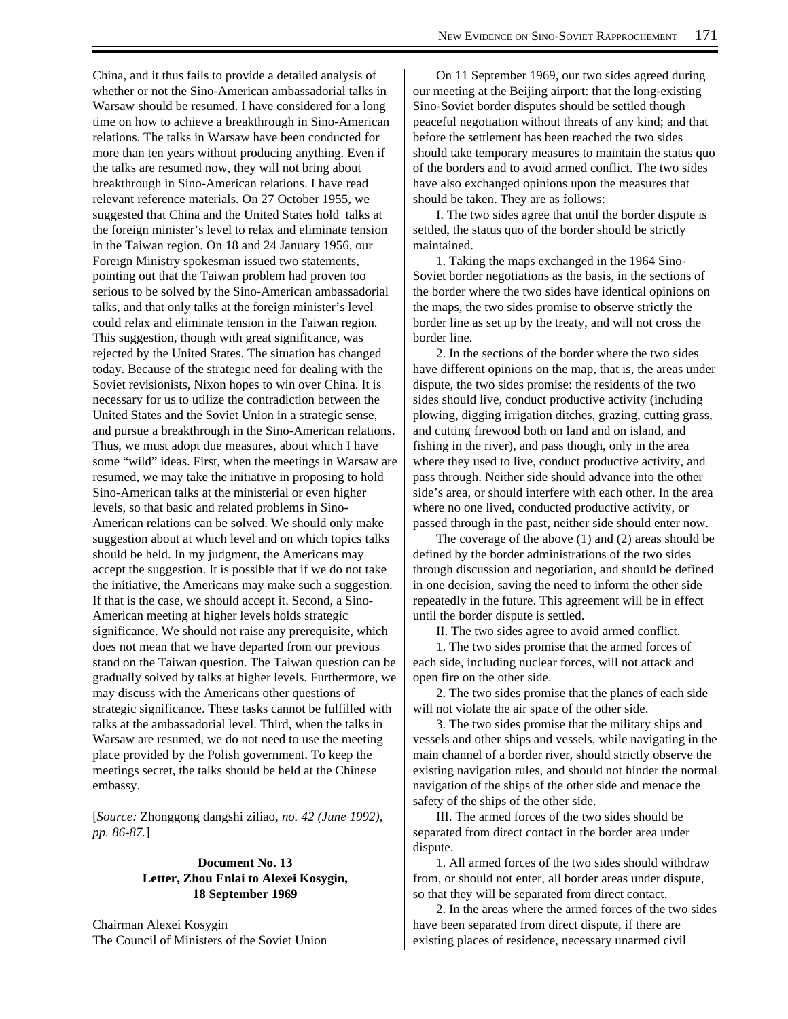China, and it thus fails to provide a detailed analysis of whether or not the Sino-American ambassadorial talks in Warsaw should be resumed. I have considered for a long time on how to achieve a breakthrough in Sino-American relations. The talks in Warsaw have been conducted for more than ten years without producing anything. Even if the talks are resumed now, they will not bring about breakthrough in Sino-American relations. I have read relevant reference materials. On 27 October 1955, we suggested that China and the United States hold talks at the foreign minister's level to relax and eliminate tension in the Taiwan region. On 18 and 24 January 1956, our Foreign Ministry spokesman issued two statements, pointing out that the Taiwan problem had proven too serious to be solved by the Sino-American ambassadorial talks, and that only talks at the foreign minister's level could relax and eliminate tension in the Taiwan region. This suggestion, though with great significance, was rejected by the United States. The situation has changed today. Because of the strategic need for dealing with the Soviet revisionists, Nixon hopes to win over China. It is necessary for us to utilize the contradiction between the United States and the Soviet Union in a strategic sense, and pursue a breakthrough in the Sino-American relations. Thus, we must adopt due measures, about which I have some "wild" ideas. First, when the meetings in Warsaw are resumed, we may take the initiative in proposing to hold Sino-American talks at the ministerial or even higher levels, so that basic and related problems in Sino-American relations can be solved. We should only make suggestion about at which level and on which topics talks should be held. In my judgment, the Americans may accept the suggestion. It is possible that if we do not take the initiative, the Americans may make such a suggestion. If that is the case, we should accept it. Second, a Sino-American meeting at higher levels holds strategic significance. We should not raise any prerequisite, which does not mean that we have departed from our previous stand on the Taiwan question. The Taiwan question can be gradually solved by talks at higher levels. Furthermore, we may discuss with the Americans other questions of strategic significance. These tasks cannot be fulfilled with talks at the ambassadorial level. Third, when the talks in Warsaw are resumed, we do not need to use the meeting place provided by the Polish government. To keep the meetings secret, the talks should be held at the Chinese embassy.

[*Source:* Zhonggong dangshi ziliao*, no. 42 (June 1992), pp. 86-87.*]

## **Document No. 13 Letter, Zhou Enlai to Alexei Kosygin, 18 September 1969**

Chairman Alexei Kosygin The Council of Ministers of the Soviet Union

On 11 September 1969, our two sides agreed during our meeting at the Beijing airport: that the long-existing Sino-Soviet border disputes should be settled though peaceful negotiation without threats of any kind; and that before the settlement has been reached the two sides should take temporary measures to maintain the status quo of the borders and to avoid armed conflict. The two sides have also exchanged opinions upon the measures that should be taken. They are as follows:

I. The two sides agree that until the border dispute is settled, the status quo of the border should be strictly maintained.

1. Taking the maps exchanged in the 1964 Sino-Soviet border negotiations as the basis, in the sections of the border where the two sides have identical opinions on the maps, the two sides promise to observe strictly the border line as set up by the treaty, and will not cross the border line.

2. In the sections of the border where the two sides have different opinions on the map, that is, the areas under dispute, the two sides promise: the residents of the two sides should live, conduct productive activity (including plowing, digging irrigation ditches, grazing, cutting grass, and cutting firewood both on land and on island, and fishing in the river), and pass though, only in the area where they used to live, conduct productive activity, and pass through. Neither side should advance into the other side's area, or should interfere with each other. In the area where no one lived, conducted productive activity, or passed through in the past, neither side should enter now.

The coverage of the above (1) and (2) areas should be defined by the border administrations of the two sides through discussion and negotiation, and should be defined in one decision, saving the need to inform the other side repeatedly in the future. This agreement will be in effect until the border dispute is settled.

II. The two sides agree to avoid armed conflict.

1. The two sides promise that the armed forces of each side, including nuclear forces, will not attack and open fire on the other side.

2. The two sides promise that the planes of each side will not violate the air space of the other side.

3. The two sides promise that the military ships and vessels and other ships and vessels, while navigating in the main channel of a border river, should strictly observe the existing navigation rules, and should not hinder the normal navigation of the ships of the other side and menace the safety of the ships of the other side.

III. The armed forces of the two sides should be separated from direct contact in the border area under dispute.

1. All armed forces of the two sides should withdraw from, or should not enter, all border areas under dispute, so that they will be separated from direct contact.

2. In the areas where the armed forces of the two sides have been separated from direct dispute, if there are existing places of residence, necessary unarmed civil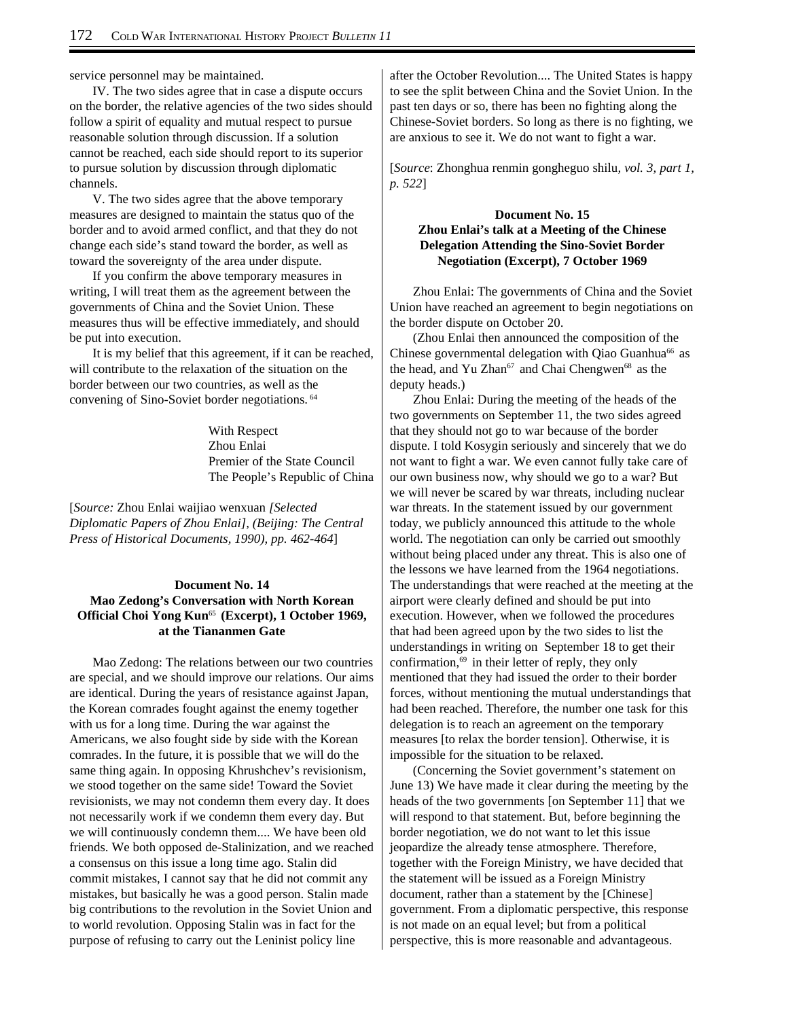service personnel may be maintained.

IV. The two sides agree that in case a dispute occurs on the border, the relative agencies of the two sides should follow a spirit of equality and mutual respect to pursue reasonable solution through discussion. If a solution cannot be reached, each side should report to its superior to pursue solution by discussion through diplomatic channels.

V. The two sides agree that the above temporary measures are designed to maintain the status quo of the border and to avoid armed conflict, and that they do not change each side's stand toward the border, as well as toward the sovereignty of the area under dispute.

If you confirm the above temporary measures in writing, I will treat them as the agreement between the governments of China and the Soviet Union. These measures thus will be effective immediately, and should be put into execution.

It is my belief that this agreement, if it can be reached, will contribute to the relaxation of the situation on the border between our two countries, as well as the convening of Sino-Soviet border negotiations. 64

> With Respect Zhou Enlai Premier of the State Council The People's Republic of China

[*Source:* Zhou Enlai waijiao wenxuan *[Selected Diplomatic Papers of Zhou Enlai], (Beijing: The Central Press of Historical Documents, 1990), pp. 462-464*]

## **Document No. 14 Mao Zedong's Conversation with North Korean Official Choi Yong Kun**<sup>65</sup> **(Excerpt), 1 October 1969, at the Tiananmen Gate**

Mao Zedong: The relations between our two countries are special, and we should improve our relations. Our aims are identical. During the years of resistance against Japan, the Korean comrades fought against the enemy together with us for a long time. During the war against the Americans, we also fought side by side with the Korean comrades. In the future, it is possible that we will do the same thing again. In opposing Khrushchev's revisionism, we stood together on the same side! Toward the Soviet revisionists, we may not condemn them every day. It does not necessarily work if we condemn them every day. But we will continuously condemn them.... We have been old friends. We both opposed de-Stalinization, and we reached a consensus on this issue a long time ago. Stalin did commit mistakes, I cannot say that he did not commit any mistakes, but basically he was a good person. Stalin made big contributions to the revolution in the Soviet Union and to world revolution. Opposing Stalin was in fact for the purpose of refusing to carry out the Leninist policy line

after the October Revolution.... The United States is happy to see the split between China and the Soviet Union. In the past ten days or so, there has been no fighting along the Chinese-Soviet borders. So long as there is no fighting, we are anxious to see it. We do not want to fight a war.

[*Source*: Zhonghua renmin gongheguo shilu*, vol. 3, part 1, p. 522*]

## **Document No. 15 Zhou Enlai's talk at a Meeting of the Chinese Delegation Attending the Sino-Soviet Border Negotiation (Excerpt), 7 October 1969**

Zhou Enlai: The governments of China and the Soviet Union have reached an agreement to begin negotiations on the border dispute on October 20.

(Zhou Enlai then announced the composition of the Chinese governmental delegation with Qiao Guanhua<sup>66</sup> as the head, and Yu Zhan<sup>67</sup> and Chai Chengwen<sup>68</sup> as the deputy heads.)

Zhou Enlai: During the meeting of the heads of the two governments on September 11, the two sides agreed that they should not go to war because of the border dispute. I told Kosygin seriously and sincerely that we do not want to fight a war. We even cannot fully take care of our own business now, why should we go to a war? But we will never be scared by war threats, including nuclear war threats. In the statement issued by our government today, we publicly announced this attitude to the whole world. The negotiation can only be carried out smoothly without being placed under any threat. This is also one of the lessons we have learned from the 1964 negotiations. The understandings that were reached at the meeting at the airport were clearly defined and should be put into execution. However, when we followed the procedures that had been agreed upon by the two sides to list the understandings in writing on September 18 to get their confirmation, $69$  in their letter of reply, they only mentioned that they had issued the order to their border forces, without mentioning the mutual understandings that had been reached. Therefore, the number one task for this delegation is to reach an agreement on the temporary measures [to relax the border tension]. Otherwise, it is impossible for the situation to be relaxed.

(Concerning the Soviet government's statement on June 13) We have made it clear during the meeting by the heads of the two governments [on September 11] that we will respond to that statement. But, before beginning the border negotiation, we do not want to let this issue jeopardize the already tense atmosphere. Therefore, together with the Foreign Ministry, we have decided that the statement will be issued as a Foreign Ministry document, rather than a statement by the [Chinese] government. From a diplomatic perspective, this response is not made on an equal level; but from a political perspective, this is more reasonable and advantageous.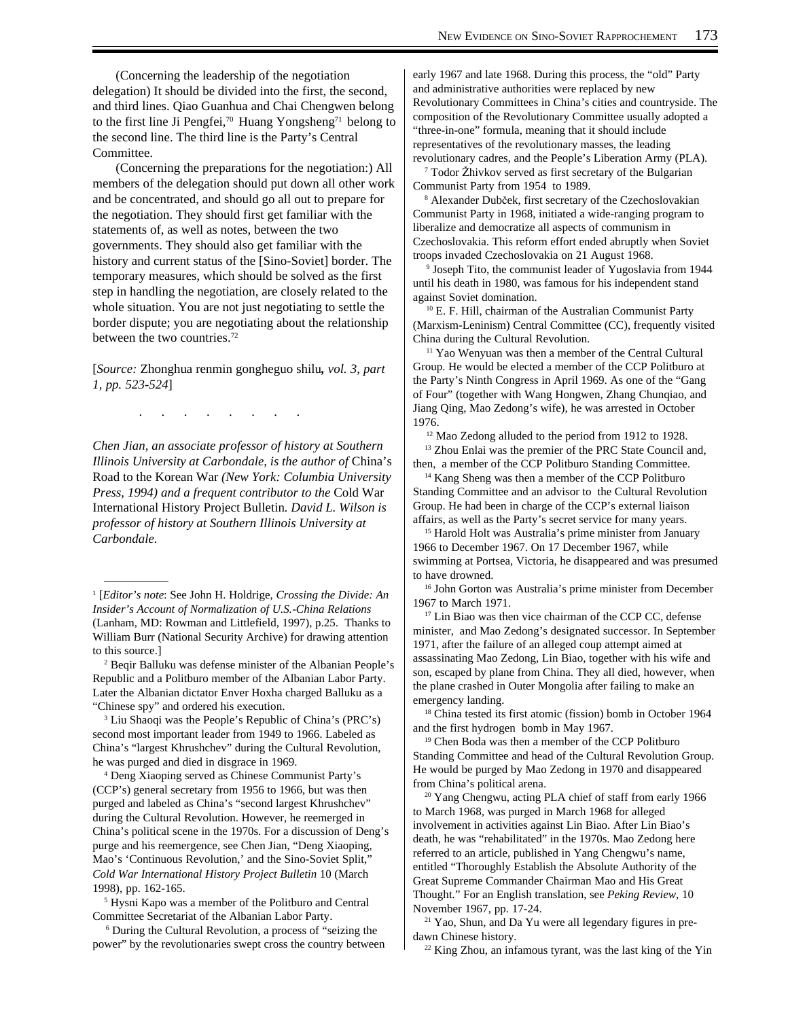(Concerning the leadership of the negotiation delegation) It should be divided into the first, the second, and third lines. Qiao Guanhua and Chai Chengwen belong to the first line Ji Pengfei,<sup>70</sup> Huang Yongsheng<sup>71</sup> belong to the second line. The third line is the Party's Central Committee.

(Concerning the preparations for the negotiation:) All members of the delegation should put down all other work and be concentrated, and should go all out to prepare for the negotiation. They should first get familiar with the statements of, as well as notes, between the two governments. They should also get familiar with the history and current status of the [Sino-Soviet] border. The temporary measures, which should be solved as the first step in handling the negotiation, are closely related to the whole situation. You are not just negotiating to settle the border dispute; you are negotiating about the relationship between the two countries.<sup>72</sup>

[*Source:* Zhonghua renmin gongheguo shilu*, vol. 3, part 1, pp. 523-524*]

. . . . . . . .

—————

*Chen Jian, an associate professor of history at Southern Illinois University at Carbondale, is the author of* China's Road to the Korean War *(New York: Columbia University Press, 1994) and a frequent contributor to the* Cold War International History Project Bulletin*. David L. Wilson is professor of history at Southern Illinois University at Carbondale.*

3 Liu Shaoqi was the People's Republic of China's (PRC's) second most important leader from 1949 to 1966. Labeled as China's "largest Khrushchev" during the Cultural Revolution, he was purged and died in disgrace in 1969.

4 Deng Xiaoping served as Chinese Communist Party's (CCP's) general secretary from 1956 to 1966, but was then purged and labeled as China's "second largest Khrushchev" during the Cultural Revolution. However, he reemerged in China's political scene in the 1970s. For a discussion of Deng's purge and his reemergence, see Chen Jian, "Deng Xiaoping, Mao's 'Continuous Revolution,' and the Sino-Soviet Split," *Cold War International History Project Bulletin* 10 (March 1998), pp. 162-165.

5 Hysni Kapo was a member of the Politburo and Central Committee Secretariat of the Albanian Labor Party.

6 During the Cultural Revolution, a process of "seizing the power" by the revolutionaries swept cross the country between early 1967 and late 1968. During this process, the "old" Party and administrative authorities were replaced by new Revolutionary Committees in China's cities and countryside. The composition of the Revolutionary Committee usually adopted a "three-in-one" formula, meaning that it should include representatives of the revolutionary masses, the leading revolutionary cadres, and the People's Liberation Army (PLA).

<sup>7</sup> Todor Žhivkov served as first secretary of the Bulgarian Communist Party from 1954 to 1989.

<sup>8</sup> Alexander Dubček, first secretary of the Czechoslovakian Communist Party in 1968, initiated a wide-ranging program to liberalize and democratize all aspects of communism in Czechoslovakia. This reform effort ended abruptly when Soviet troops invaded Czechoslovakia on 21 August 1968.

9 Joseph Tito, the communist leader of Yugoslavia from 1944 until his death in 1980, was famous for his independent stand against Soviet domination.

10 E. F. Hill, chairman of the Australian Communist Party (Marxism-Leninism) Central Committee (CC), frequently visited China during the Cultural Revolution.

11 Yao Wenyuan was then a member of the Central Cultural Group. He would be elected a member of the CCP Politburo at the Party's Ninth Congress in April 1969. As one of the "Gang of Four" (together with Wang Hongwen, Zhang Chunqiao, and Jiang Qing, Mao Zedong's wife), he was arrested in October 1976.

<sup>12</sup> Mao Zedong alluded to the period from 1912 to 1928. <sup>13</sup> Zhou Enlai was the premier of the PRC State Council and, then, a member of the CCP Politburo Standing Committee.

<sup>14</sup> Kang Sheng was then a member of the CCP Politburo Standing Committee and an advisor to the Cultural Revolution Group. He had been in charge of the CCP's external liaison affairs, as well as the Party's secret service for many years.

15 Harold Holt was Australia's prime minister from January 1966 to December 1967. On 17 December 1967, while swimming at Portsea, Victoria, he disappeared and was presumed to have drowned.

<sup>16</sup> John Gorton was Australia's prime minister from December 1967 to March 1971.

<sup>17</sup> Lin Biao was then vice chairman of the CCP CC, defense minister, and Mao Zedong's designated successor. In September 1971, after the failure of an alleged coup attempt aimed at assassinating Mao Zedong, Lin Biao, together with his wife and son, escaped by plane from China. They all died, however, when the plane crashed in Outer Mongolia after failing to make an emergency landing.

<sup>18</sup> China tested its first atomic (fission) bomb in October 1964 and the first hydrogen bomb in May 1967.

19 Chen Boda was then a member of the CCP Politburo Standing Committee and head of the Cultural Revolution Group. He would be purged by Mao Zedong in 1970 and disappeared from China's political arena.

<sup>20</sup> Yang Chengwu, acting PLA chief of staff from early 1966 to March 1968, was purged in March 1968 for alleged involvement in activities against Lin Biao. After Lin Biao's death, he was "rehabilitated" in the 1970s. Mao Zedong here referred to an article, published in Yang Chengwu's name, entitled "Thoroughly Establish the Absolute Authority of the Great Supreme Commander Chairman Mao and His Great Thought." For an English translation, see *Peking Review*, 10 November 1967, pp. 17-24.

21 Yao, Shun, and Da Yu were all legendary figures in predawn Chinese history.

 $22$  King Zhou, an infamous tyrant, was the last king of the Yin

<sup>1</sup> [*Editor's note*: See John H. Holdrige, *Crossing the Divide: An Insider's Account of Normalization of U.S.-China Relations* (Lanham, MD: Rowman and Littlefield, 1997), p.25. Thanks to William Burr (National Security Archive) for drawing attention to this source.]

<sup>2</sup> Beqir Balluku was defense minister of the Albanian People's Republic and a Politburo member of the Albanian Labor Party. Later the Albanian dictator Enver Hoxha charged Balluku as a "Chinese spy" and ordered his execution.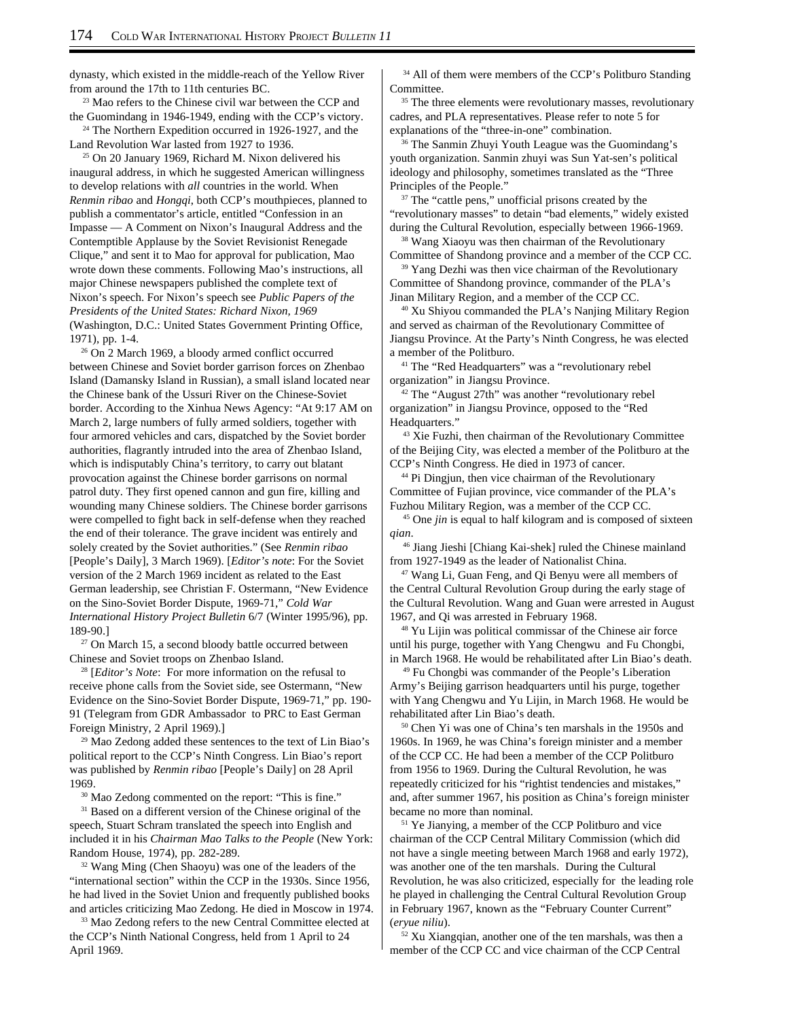dynasty, which existed in the middle-reach of the Yellow River from around the 17th to 11th centuries BC.

23 Mao refers to the Chinese civil war between the CCP and the Guomindang in 1946-1949, ending with the CCP's victory.

24 The Northern Expedition occurred in 1926-1927, and the Land Revolution War lasted from 1927 to 1936.

25 On 20 January 1969, Richard M. Nixon delivered his inaugural address, in which he suggested American willingness to develop relations with *all* countries in the world. When *Renmin ribao* and *Hongqi*, both CCP's mouthpieces, planned to publish a commentator's article, entitled "Confession in an Impasse — A Comment on Nixon's Inaugural Address and the Contemptible Applause by the Soviet Revisionist Renegade Clique," and sent it to Mao for approval for publication, Mao wrote down these comments. Following Mao's instructions, all major Chinese newspapers published the complete text of Nixon's speech. For Nixon's speech see *Public Papers of the Presidents of the United States: Richard Nixon, 1969* (Washington, D.C.: United States Government Printing Office, 1971), pp. 1-4.

26 On 2 March 1969, a bloody armed conflict occurred between Chinese and Soviet border garrison forces on Zhenbao Island (Damansky Island in Russian), a small island located near the Chinese bank of the Ussuri River on the Chinese-Soviet border. According to the Xinhua News Agency: "At 9:17 AM on March 2, large numbers of fully armed soldiers, together with four armored vehicles and cars, dispatched by the Soviet border authorities, flagrantly intruded into the area of Zhenbao Island, which is indisputably China's territory, to carry out blatant provocation against the Chinese border garrisons on normal patrol duty. They first opened cannon and gun fire, killing and wounding many Chinese soldiers. The Chinese border garrisons were compelled to fight back in self-defense when they reached the end of their tolerance. The grave incident was entirely and solely created by the Soviet authorities." (See *Renmin ribao* [People's Daily], 3 March 1969). [*Editor's note*: For the Soviet version of the 2 March 1969 incident as related to the East German leadership, see Christian F. Ostermann, "New Evidence on the Sino-Soviet Border Dispute, 1969-71," *Cold War International History Project Bulletin* 6/7 (Winter 1995/96), pp. 189-90.]

27 On March 15, a second bloody battle occurred between Chinese and Soviet troops on Zhenbao Island.

28 [*Editor's Note*: For more information on the refusal to receive phone calls from the Soviet side, see Ostermann, "New Evidence on the Sino-Soviet Border Dispute, 1969-71," pp. 190- 91 (Telegram from GDR Ambassador to PRC to East German Foreign Ministry, 2 April 1969).]

<sup>29</sup> Mao Zedong added these sentences to the text of Lin Biao's political report to the CCP's Ninth Congress. Lin Biao's report was published by *Renmin ribao* [People's Daily] on 28 April 1969.

30 Mao Zedong commented on the report: "This is fine."

<sup>31</sup> Based on a different version of the Chinese original of the speech, Stuart Schram translated the speech into English and included it in his *Chairman Mao Talks to the People* (New York: Random House, 1974), pp. 282-289.

32 Wang Ming (Chen Shaoyu) was one of the leaders of the "international section" within the CCP in the 1930s. Since 1956, he had lived in the Soviet Union and frequently published books and articles criticizing Mao Zedong. He died in Moscow in 1974.

33 Mao Zedong refers to the new Central Committee elected at the CCP's Ninth National Congress, held from 1 April to 24 April 1969.

<sup>34</sup> All of them were members of the CCP's Politburo Standing Committee.

<sup>35</sup> The three elements were revolutionary masses, revolutionary cadres, and PLA representatives. Please refer to note 5 for explanations of the "three-in-one" combination.

36 The Sanmin Zhuyi Youth League was the Guomindang's youth organization. Sanmin zhuyi was Sun Yat-sen's political ideology and philosophy, sometimes translated as the "Three Principles of the People."

37 The "cattle pens," unofficial prisons created by the "revolutionary masses" to detain "bad elements," widely existed during the Cultural Revolution, especially between 1966-1969.

<sup>38</sup> Wang Xiaoyu was then chairman of the Revolutionary Committee of Shandong province and a member of the CCP CC.

<sup>39</sup> Yang Dezhi was then vice chairman of the Revolutionary Committee of Shandong province, commander of the PLA's Jinan Military Region, and a member of the CCP CC.

40 Xu Shiyou commanded the PLA's Nanjing Military Region and served as chairman of the Revolutionary Committee of Jiangsu Province. At the Party's Ninth Congress, he was elected a member of the Politburo.

41 The "Red Headquarters" was a "revolutionary rebel organization" in Jiangsu Province.

42 The "August 27th" was another "revolutionary rebel organization" in Jiangsu Province, opposed to the "Red Headquarters."

43 Xie Fuzhi, then chairman of the Revolutionary Committee of the Beijing City, was elected a member of the Politburo at the CCP's Ninth Congress. He died in 1973 of cancer.

44 Pi Dingjun, then vice chairman of the Revolutionary Committee of Fujian province, vice commander of the PLA's Fuzhou Military Region, was a member of the CCP CC.

45 One *jin* is equal to half kilogram and is composed of sixteen *qian*.

46 Jiang Jieshi [Chiang Kai-shek] ruled the Chinese mainland from 1927-1949 as the leader of Nationalist China.

47 Wang Li, Guan Feng, and Qi Benyu were all members of the Central Cultural Revolution Group during the early stage of the Cultural Revolution. Wang and Guan were arrested in August 1967, and Qi was arrested in February 1968.

48 Yu Lijin was political commissar of the Chinese air force until his purge, together with Yang Chengwu and Fu Chongbi, in March 1968. He would be rehabilitated after Lin Biao's death.

49 Fu Chongbi was commander of the People's Liberation Army's Beijing garrison headquarters until his purge, together with Yang Chengwu and Yu Lijin, in March 1968. He would be rehabilitated after Lin Biao's death.

50 Chen Yi was one of China's ten marshals in the 1950s and 1960s. In 1969, he was China's foreign minister and a member of the CCP CC. He had been a member of the CCP Politburo from 1956 to 1969. During the Cultural Revolution, he was repeatedly criticized for his "rightist tendencies and mistakes," and, after summer 1967, his position as China's foreign minister became no more than nominal.

51 Ye Jianying, a member of the CCP Politburo and vice chairman of the CCP Central Military Commission (which did not have a single meeting between March 1968 and early 1972), was another one of the ten marshals. During the Cultural Revolution, he was also criticized, especially for the leading role he played in challenging the Central Cultural Revolution Group in February 1967, known as the "February Counter Current" (*eryue niliu*).

 $52$  Xu Xiangqian, another one of the ten marshals, was then a member of the CCP CC and vice chairman of the CCP Central